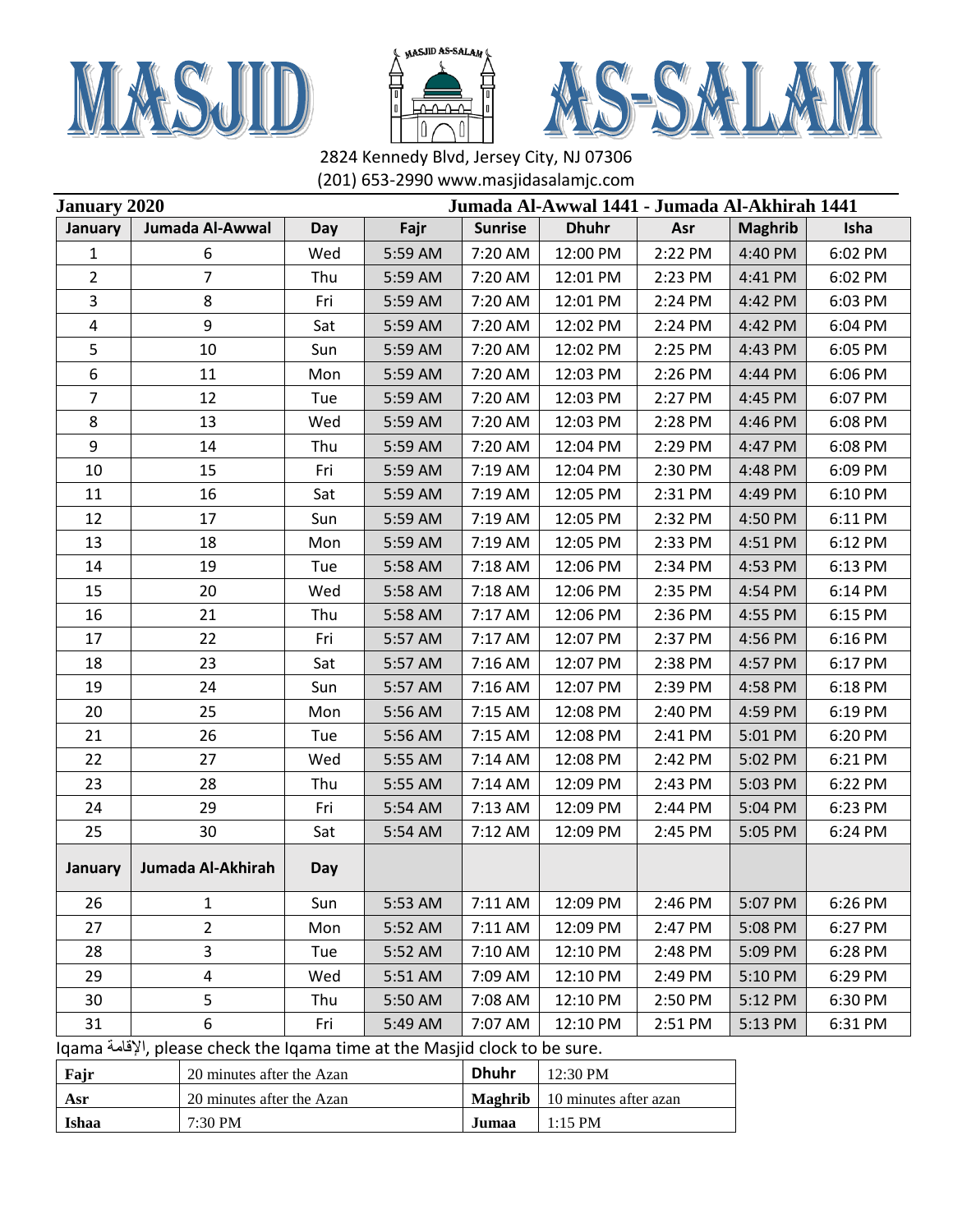





| Jumada Al-Awwal 1441 - Jumada Al-Akhirah 1441<br><b>January 2020</b> |                                                                            |     |         |                |                       |         |                |         |
|----------------------------------------------------------------------|----------------------------------------------------------------------------|-----|---------|----------------|-----------------------|---------|----------------|---------|
| January                                                              | Jumada Al-Awwal                                                            | Day | Fajr    | <b>Sunrise</b> | <b>Dhuhr</b>          | Asr     | <b>Maghrib</b> | Isha    |
| 1                                                                    | 6                                                                          | Wed | 5:59 AM | 7:20 AM        | 12:00 PM              | 2:22 PM | 4:40 PM        | 6:02 PM |
| $\overline{2}$                                                       | $\overline{7}$                                                             | Thu | 5:59 AM | 7:20 AM        | 12:01 PM              | 2:23 PM | 4:41 PM        | 6:02 PM |
| 3                                                                    | 8                                                                          | Fri | 5:59 AM | 7:20 AM        | 12:01 PM              | 2:24 PM | 4:42 PM        | 6:03 PM |
| 4                                                                    | 9                                                                          | Sat | 5:59 AM | 7:20 AM        | 12:02 PM              | 2:24 PM | 4:42 PM        | 6:04 PM |
| 5                                                                    | 10                                                                         | Sun | 5:59 AM | 7:20 AM        | 12:02 PM              | 2:25 PM | 4:43 PM        | 6:05 PM |
| 6                                                                    | 11                                                                         | Mon | 5:59 AM | 7:20 AM        | 12:03 PM              | 2:26 PM | 4:44 PM        | 6:06 PM |
| $\overline{7}$                                                       | 12                                                                         | Tue | 5:59 AM | 7:20 AM        | 12:03 PM              | 2:27 PM | 4:45 PM        | 6:07 PM |
| 8                                                                    | 13                                                                         | Wed | 5:59 AM | 7:20 AM        | 12:03 PM              | 2:28 PM | 4:46 PM        | 6:08 PM |
| 9                                                                    | 14                                                                         | Thu | 5:59 AM | 7:20 AM        | 12:04 PM              | 2:29 PM | 4:47 PM        | 6:08 PM |
| 10                                                                   | 15                                                                         | Fri | 5:59 AM | 7:19 AM        | 12:04 PM              | 2:30 PM | 4:48 PM        | 6:09 PM |
| 11                                                                   | 16                                                                         | Sat | 5:59 AM | 7:19 AM        | 12:05 PM              | 2:31 PM | 4:49 PM        | 6:10 PM |
| 12                                                                   | 17                                                                         | Sun | 5:59 AM | 7:19 AM        | 12:05 PM              | 2:32 PM | 4:50 PM        | 6:11 PM |
| 13                                                                   | 18                                                                         | Mon | 5:59 AM | 7:19 AM        | 12:05 PM              | 2:33 PM | 4:51 PM        | 6:12 PM |
| 14                                                                   | 19                                                                         | Tue | 5:58 AM | 7:18 AM        | 12:06 PM              | 2:34 PM | 4:53 PM        | 6:13 PM |
| 15                                                                   | 20                                                                         | Wed | 5:58 AM | 7:18 AM        | 12:06 PM              | 2:35 PM | 4:54 PM        | 6:14 PM |
| 16                                                                   | 21                                                                         | Thu | 5:58 AM | 7:17 AM        | 12:06 PM              | 2:36 PM | 4:55 PM        | 6:15 PM |
| 17                                                                   | 22                                                                         | Fri | 5:57 AM | 7:17 AM        | 12:07 PM              | 2:37 PM | 4:56 PM        | 6:16 PM |
| 18                                                                   | 23                                                                         | Sat | 5:57 AM | 7:16 AM        | 12:07 PM              | 2:38 PM | 4:57 PM        | 6:17 PM |
| 19                                                                   | 24                                                                         | Sun | 5:57 AM | 7:16 AM        | 12:07 PM              | 2:39 PM | 4:58 PM        | 6:18 PM |
| 20                                                                   | 25                                                                         | Mon | 5:56 AM | 7:15 AM        | 12:08 PM              | 2:40 PM | 4:59 PM        | 6:19 PM |
| 21                                                                   | 26                                                                         | Tue | 5:56 AM | 7:15 AM        | 12:08 PM              | 2:41 PM | 5:01 PM        | 6:20 PM |
| 22                                                                   | 27                                                                         | Wed | 5:55 AM | 7:14 AM        | 12:08 PM              | 2:42 PM | 5:02 PM        | 6:21 PM |
| 23                                                                   | 28                                                                         | Thu | 5:55 AM | 7:14 AM        | 12:09 PM              | 2:43 PM | 5:03 PM        | 6:22 PM |
| 24                                                                   | 29                                                                         | Fri | 5:54 AM | 7:13 AM        | 12:09 PM              | 2:44 PM | 5:04 PM        | 6:23 PM |
| 25                                                                   | 30                                                                         | Sat | 5:54 AM | 7:12 AM        | 12:09 PM              | 2:45 PM | 5:05 PM        | 6:24 PM |
| January                                                              | Jumada Al-Akhirah                                                          | Day |         |                |                       |         |                |         |
| 26                                                                   | 1                                                                          | Sun | 5:53 AM | 7:11 AM        | 12:09 PM              | 2:46 PM | 5:07 PM        | 6:26 PM |
| 27                                                                   | 2                                                                          | Mon | 5:52 AM | 7:11 AM        | 12:09 PM              | 2:47 PM | 5:08 PM        | 6:27 PM |
| 28                                                                   | 3                                                                          | Tue | 5:52 AM | 7:10 AM        | 12:10 PM              | 2:48 PM | 5:09 PM        | 6:28 PM |
| 29                                                                   | 4                                                                          | Wed | 5:51 AM | 7:09 AM        | 12:10 PM              | 2:49 PM | 5:10 PM        | 6:29 PM |
| 30                                                                   | 5                                                                          | Thu | 5:50 AM | 7:08 AM        | 12:10 PM              | 2:50 PM | 5:12 PM        | 6:30 PM |
| 31                                                                   | 6                                                                          | Fri | 5:49 AM | 7:07 AM        | 12:10 PM              | 2:51 PM | 5:13 PM        | 6:31 PM |
|                                                                      | Iqama إلإقلمة, please check the Iqama time at the Masjid clock to be sure. |     |         |                |                       |         |                |         |
| Fajr                                                                 | 20 minutes after the Azan                                                  |     |         | <b>Dhuhr</b>   | 12:30 PM              |         |                |         |
| Asr                                                                  | 20 minutes after the Azan                                                  |     |         | <b>Maghrib</b> | 10 minutes after azan |         |                |         |
| Ishaa                                                                | 7:30 PM                                                                    |     |         | Jumaa          | $1:15$ PM             |         |                |         |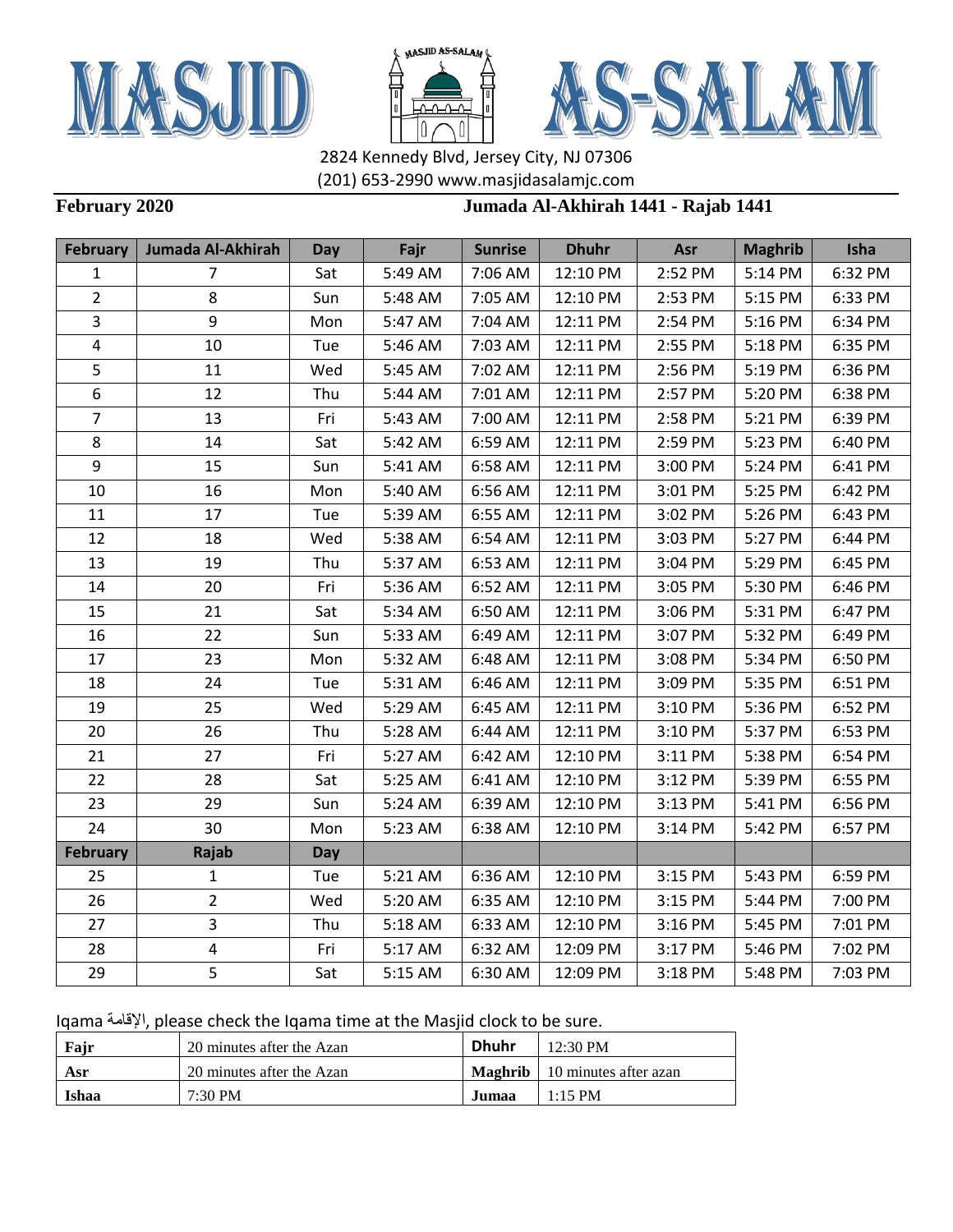





## **February 2020 Jumada Al-Akhirah 1441 - Rajab 1441**

| <b>February</b>         | Jumada Al-Akhirah       | Day | Fajr    | <b>Sunrise</b> | <b>Dhuhr</b> | Asr     | <b>Maghrib</b> | Isha    |
|-------------------------|-------------------------|-----|---------|----------------|--------------|---------|----------------|---------|
| 1                       | $\overline{7}$          | Sat | 5:49 AM | 7:06 AM        | 12:10 PM     | 2:52 PM | 5:14 PM        | 6:32 PM |
| $\overline{2}$          | 8                       | Sun | 5:48 AM | 7:05 AM        | 12:10 PM     | 2:53 PM | 5:15 PM        | 6:33 PM |
| 3                       | 9                       | Mon | 5:47 AM | 7:04 AM        | 12:11 PM     | 2:54 PM | 5:16 PM        | 6:34 PM |
| $\overline{\mathbf{4}}$ | 10                      | Tue | 5:46 AM | 7:03 AM        | 12:11 PM     | 2:55 PM | 5:18 PM        | 6:35 PM |
| 5                       | 11                      | Wed | 5:45 AM | 7:02 AM        | 12:11 PM     | 2:56 PM | 5:19 PM        | 6:36 PM |
| 6                       | 12                      | Thu | 5:44 AM | 7:01 AM        | 12:11 PM     | 2:57 PM | 5:20 PM        | 6:38 PM |
| $\overline{7}$          | 13                      | Fri | 5:43 AM | 7:00 AM        | 12:11 PM     | 2:58 PM | 5:21 PM        | 6:39 PM |
| 8                       | 14                      | Sat | 5:42 AM | 6:59 AM        | 12:11 PM     | 2:59 PM | 5:23 PM        | 6:40 PM |
| $\boldsymbol{9}$        | 15                      | Sun | 5:41 AM | 6:58 AM        | 12:11 PM     | 3:00 PM | 5:24 PM        | 6:41 PM |
| 10                      | 16                      | Mon | 5:40 AM | 6:56 AM        | 12:11 PM     | 3:01 PM | 5:25 PM        | 6:42 PM |
| 11                      | 17                      | Tue | 5:39 AM | 6:55 AM        | 12:11 PM     | 3:02 PM | 5:26 PM        | 6:43 PM |
| 12                      | 18                      | Wed | 5:38 AM | 6:54 AM        | 12:11 PM     | 3:03 PM | 5:27 PM        | 6:44 PM |
| 13                      | 19                      | Thu | 5:37 AM | 6:53 AM        | 12:11 PM     | 3:04 PM | 5:29 PM        | 6:45 PM |
| 14                      | 20                      | Fri | 5:36 AM | 6:52 AM        | 12:11 PM     | 3:05 PM | 5:30 PM        | 6:46 PM |
| 15                      | 21                      | Sat | 5:34 AM | 6:50 AM        | 12:11 PM     | 3:06 PM | 5:31 PM        | 6:47 PM |
| 16                      | 22                      | Sun | 5:33 AM | 6:49 AM        | 12:11 PM     | 3:07 PM | 5:32 PM        | 6:49 PM |
| 17                      | 23                      | Mon | 5:32 AM | 6:48 AM        | 12:11 PM     | 3:08 PM | 5:34 PM        | 6:50 PM |
| 18                      | 24                      | Tue | 5:31 AM | 6:46 AM        | 12:11 PM     | 3:09 PM | 5:35 PM        | 6:51 PM |
| 19                      | 25                      | Wed | 5:29 AM | 6:45 AM        | 12:11 PM     | 3:10 PM | 5:36 PM        | 6:52 PM |
| 20                      | 26                      | Thu | 5:28 AM | 6:44 AM        | 12:11 PM     | 3:10 PM | 5:37 PM        | 6:53 PM |
| 21                      | 27                      | Fri | 5:27 AM | 6:42 AM        | 12:10 PM     | 3:11 PM | 5:38 PM        | 6:54 PM |
| 22                      | 28                      | Sat | 5:25 AM | 6:41 AM        | 12:10 PM     | 3:12 PM | 5:39 PM        | 6:55 PM |
| 23                      | 29                      | Sun | 5:24 AM | 6:39 AM        | 12:10 PM     | 3:13 PM | 5:41 PM        | 6:56 PM |
| 24                      | 30                      | Mon | 5:23 AM | 6:38 AM        | 12:10 PM     | 3:14 PM | 5:42 PM        | 6:57 PM |
| <b>February</b>         | Rajab                   | Day |         |                |              |         |                |         |
| 25                      | $\mathbf{1}$            | Tue | 5:21 AM | 6:36 AM        | 12:10 PM     | 3:15 PM | 5:43 PM        | 6:59 PM |
| 26                      | $\overline{2}$          | Wed | 5:20 AM | 6:35 AM        | 12:10 PM     | 3:15 PM | 5:44 PM        | 7:00 PM |
| 27                      | $\overline{3}$          | Thu | 5:18 AM | 6:33 AM        | 12:10 PM     | 3:16 PM | 5:45 PM        | 7:01 PM |
| 28                      | $\overline{\mathbf{4}}$ | Fri | 5:17 AM | 6:32 AM        | 12:09 PM     | 3:17 PM | 5:46 PM        | 7:02 PM |
| 29                      | 5                       | Sat | 5:15 AM | 6:30 AM        | 12:09 PM     | 3:18 PM | 5:48 PM        | 7:03 PM |

| Fajr  | 20 minutes after the Azan | <b>Dhuhr</b> | $12:30 \text{ PM}$                     |
|-------|---------------------------|--------------|----------------------------------------|
| Asr   | 20 minutes after the Azan |              | <b>Maghrib</b>   10 minutes after azan |
| Ishaa | 7:30 PM                   | Jumaa        | $1:15$ PM                              |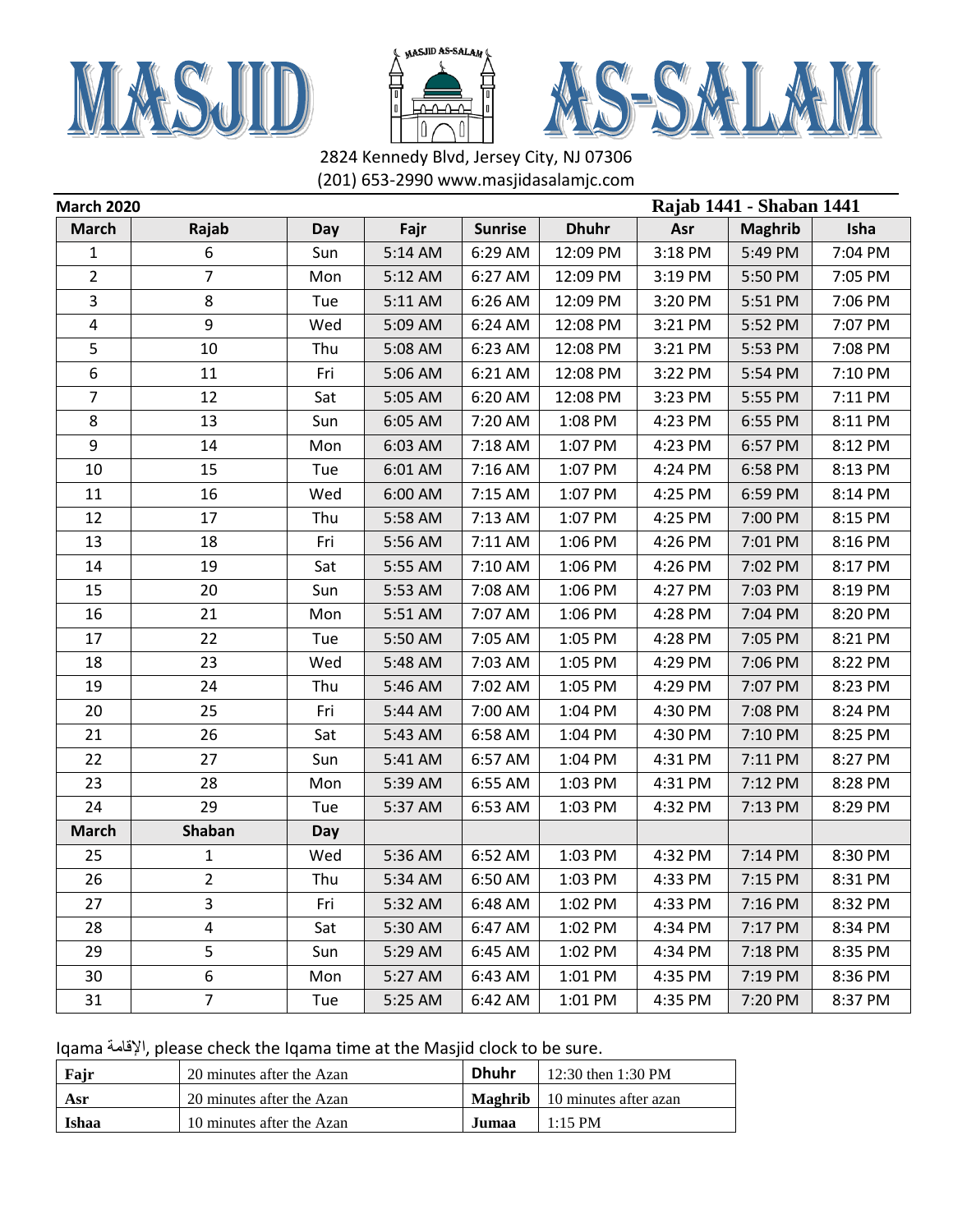





| <b>March 2020</b> |                |     |         |                |              | Rajab 1441 - Shaban 1441 |                |         |  |
|-------------------|----------------|-----|---------|----------------|--------------|--------------------------|----------------|---------|--|
| <b>March</b>      | Rajab          | Day | Fajr    | <b>Sunrise</b> | <b>Dhuhr</b> | Asr                      | <b>Maghrib</b> | Isha    |  |
| 1                 | 6              | Sun | 5:14 AM | 6:29 AM        | 12:09 PM     | 3:18 PM                  | 5:49 PM        | 7:04 PM |  |
| 2                 | 7              | Mon | 5:12 AM | 6:27 AM        | 12:09 PM     | 3:19 PM                  | 5:50 PM        | 7:05 PM |  |
| 3                 | 8              | Tue | 5:11 AM | 6:26 AM        | 12:09 PM     | 3:20 PM                  | 5:51 PM        | 7:06 PM |  |
| 4                 | 9              | Wed | 5:09 AM | 6:24 AM        | 12:08 PM     | 3:21 PM                  | 5:52 PM        | 7:07 PM |  |
| 5                 | 10             | Thu | 5:08 AM | 6:23 AM        | 12:08 PM     | 3:21 PM                  | 5:53 PM        | 7:08 PM |  |
| 6                 | 11             | Fri | 5:06 AM | 6:21 AM        | 12:08 PM     | 3:22 PM                  | 5:54 PM        | 7:10 PM |  |
| $\overline{7}$    | 12             | Sat | 5:05 AM | 6:20 AM        | 12:08 PM     | 3:23 PM                  | 5:55 PM        | 7:11 PM |  |
| 8                 | 13             | Sun | 6:05 AM | 7:20 AM        | 1:08 PM      | 4:23 PM                  | 6:55 PM        | 8:11 PM |  |
| 9                 | 14             | Mon | 6:03 AM | 7:18 AM        | 1:07 PM      | 4:23 PM                  | 6:57 PM        | 8:12 PM |  |
| 10                | 15             | Tue | 6:01 AM | 7:16 AM        | 1:07 PM      | 4:24 PM                  | 6:58 PM        | 8:13 PM |  |
| 11                | 16             | Wed | 6:00 AM | 7:15 AM        | 1:07 PM      | 4:25 PM                  | 6:59 PM        | 8:14 PM |  |
| 12                | 17             | Thu | 5:58 AM | 7:13 AM        | 1:07 PM      | 4:25 PM                  | 7:00 PM        | 8:15 PM |  |
| 13                | 18             | Fri | 5:56 AM | 7:11 AM        | 1:06 PM      | 4:26 PM                  | 7:01 PM        | 8:16 PM |  |
| 14                | 19             | Sat | 5:55 AM | 7:10 AM        | 1:06 PM      | 4:26 PM                  | 7:02 PM        | 8:17 PM |  |
| 15                | 20             | Sun | 5:53 AM | 7:08 AM        | 1:06 PM      | 4:27 PM                  | 7:03 PM        | 8:19 PM |  |
| 16                | 21             | Mon | 5:51 AM | 7:07 AM        | 1:06 PM      | 4:28 PM                  | 7:04 PM        | 8:20 PM |  |
| 17                | 22             | Tue | 5:50 AM | 7:05 AM        | 1:05 PM      | 4:28 PM                  | 7:05 PM        | 8:21 PM |  |
| 18                | 23             | Wed | 5:48 AM | 7:03 AM        | 1:05 PM      | 4:29 PM                  | 7:06 PM        | 8:22 PM |  |
| 19                | 24             | Thu | 5:46 AM | 7:02 AM        | 1:05 PM      | 4:29 PM                  | 7:07 PM        | 8:23 PM |  |
| 20                | 25             | Fri | 5:44 AM | 7:00 AM        | 1:04 PM      | 4:30 PM                  | 7:08 PM        | 8:24 PM |  |
| 21                | 26             | Sat | 5:43 AM | 6:58 AM        | 1:04 PM      | 4:30 PM                  | 7:10 PM        | 8:25 PM |  |
| 22                | 27             | Sun | 5:41 AM | 6:57 AM        | 1:04 PM      | 4:31 PM                  | 7:11 PM        | 8:27 PM |  |
| 23                | 28             | Mon | 5:39 AM | 6:55 AM        | 1:03 PM      | 4:31 PM                  | 7:12 PM        | 8:28 PM |  |
| 24                | 29             | Tue | 5:37 AM | 6:53 AM        | 1:03 PM      | 4:32 PM                  | 7:13 PM        | 8:29 PM |  |
| <b>March</b>      | Shaban         | Day |         |                |              |                          |                |         |  |
| 25                | 1              | Wed | 5:36 AM | 6:52 AM        | 1:03 PM      | 4:32 PM                  | 7:14 PM        | 8:30 PM |  |
| 26                | $\overline{2}$ | Thu | 5:34 AM | 6:50 AM        | 1:03 PM      | 4:33 PM                  | 7:15 PM        | 8:31 PM |  |
| 27                | 3              | Fri | 5:32 AM | 6:48 AM        | 1:02 PM      | 4:33 PM                  | 7:16 PM        | 8:32 PM |  |
| 28                | 4              | Sat | 5:30 AM | 6:47 AM        | 1:02 PM      | 4:34 PM                  | 7:17 PM        | 8:34 PM |  |
| 29                | 5              | Sun | 5:29 AM | 6:45 AM        | 1:02 PM      | 4:34 PM                  | 7:18 PM        | 8:35 PM |  |
| 30                | 6              | Mon | 5:27 AM | 6:43 AM        | 1:01 PM      | 4:35 PM                  | 7:19 PM        | 8:36 PM |  |
| 31                | $\overline{7}$ | Tue | 5:25 AM | 6:42 AM        | 1:01 PM      | 4:35 PM                  | 7:20 PM        | 8:37 PM |  |

| Fajr  | 20 minutes after the Azan | <b>Dhuhr</b> | 12:30 then $1:30$ PM                         |
|-------|---------------------------|--------------|----------------------------------------------|
| Asr   | 20 minutes after the Azan |              | <b>Maghrib</b> $\vert$ 10 minutes after azan |
| Ishaa | 10 minutes after the Azan | Jumaa        | $1:15$ PM                                    |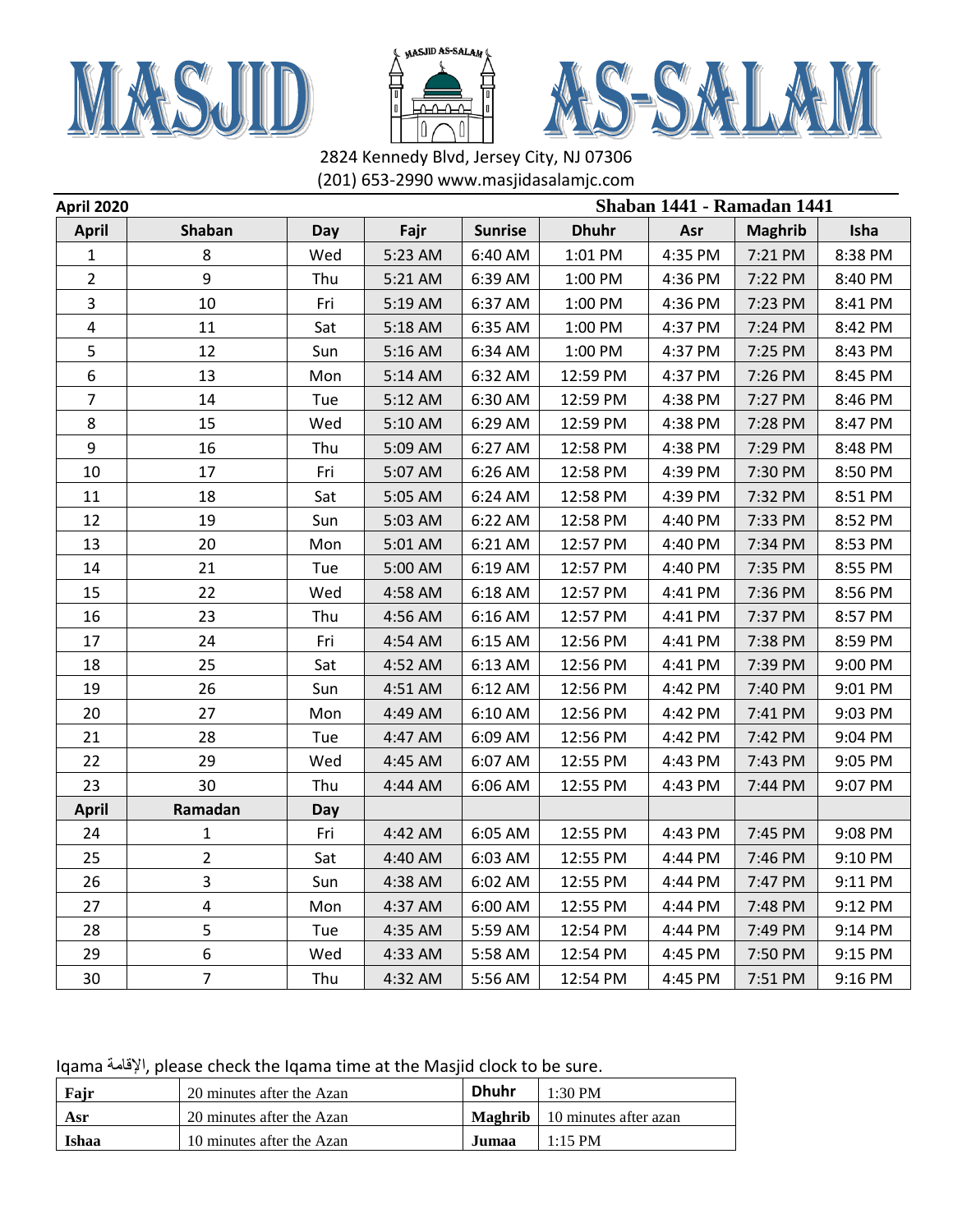





| <b>April 2020</b>       |                |     |         |                | Shaban 1441 - Ramadan 1441 |         |                |         |
|-------------------------|----------------|-----|---------|----------------|----------------------------|---------|----------------|---------|
| <b>April</b>            | Shaban         | Day | Fajr    | <b>Sunrise</b> | <b>Dhuhr</b>               | Asr     | <b>Maghrib</b> | Isha    |
| $\mathbf{1}$            | 8              | Wed | 5:23 AM | 6:40 AM        | 1:01 PM                    | 4:35 PM | 7:21 PM        | 8:38 PM |
| $\overline{2}$          | 9              | Thu | 5:21 AM | 6:39 AM        | 1:00 PM                    | 4:36 PM | 7:22 PM        | 8:40 PM |
| 3                       | 10             | Fri | 5:19 AM | 6:37 AM        | 1:00 PM                    | 4:36 PM | 7:23 PM        | 8:41 PM |
| $\overline{\mathbf{4}}$ | 11             | Sat | 5:18 AM | 6:35 AM        | 1:00 PM                    | 4:37 PM | 7:24 PM        | 8:42 PM |
| 5                       | 12             | Sun | 5:16 AM | 6:34 AM        | 1:00 PM                    | 4:37 PM | 7:25 PM        | 8:43 PM |
| 6                       | 13             | Mon | 5:14 AM | 6:32 AM        | 12:59 PM                   | 4:37 PM | 7:26 PM        | 8:45 PM |
| $\overline{7}$          | 14             | Tue | 5:12 AM | 6:30 AM        | 12:59 PM                   | 4:38 PM | 7:27 PM        | 8:46 PM |
| 8                       | 15             | Wed | 5:10 AM | 6:29 AM        | 12:59 PM                   | 4:38 PM | 7:28 PM        | 8:47 PM |
| 9                       | 16             | Thu | 5:09 AM | 6:27 AM        | 12:58 PM                   | 4:38 PM | 7:29 PM        | 8:48 PM |
| 10                      | 17             | Fri | 5:07 AM | 6:26 AM        | 12:58 PM                   | 4:39 PM | 7:30 PM        | 8:50 PM |
| 11                      | 18             | Sat | 5:05 AM | 6:24 AM        | 12:58 PM                   | 4:39 PM | 7:32 PM        | 8:51 PM |
| 12                      | 19             | Sun | 5:03 AM | 6:22 AM        | 12:58 PM                   | 4:40 PM | 7:33 PM        | 8:52 PM |
| 13                      | 20             | Mon | 5:01 AM | 6:21 AM        | 12:57 PM                   | 4:40 PM | 7:34 PM        | 8:53 PM |
| 14                      | 21             | Tue | 5:00 AM | 6:19 AM        | 12:57 PM                   | 4:40 PM | 7:35 PM        | 8:55 PM |
| 15                      | 22             | Wed | 4:58 AM | 6:18 AM        | 12:57 PM                   | 4:41 PM | 7:36 PM        | 8:56 PM |
| 16                      | 23             | Thu | 4:56 AM | 6:16 AM        | 12:57 PM                   | 4:41 PM | 7:37 PM        | 8:57 PM |
| 17                      | 24             | Fri | 4:54 AM | 6:15 AM        | 12:56 PM                   | 4:41 PM | 7:38 PM        | 8:59 PM |
| 18                      | 25             | Sat | 4:52 AM | 6:13 AM        | 12:56 PM                   | 4:41 PM | 7:39 PM        | 9:00 PM |
| 19                      | 26             | Sun | 4:51 AM | 6:12 AM        | 12:56 PM                   | 4:42 PM | 7:40 PM        | 9:01 PM |
| 20                      | 27             | Mon | 4:49 AM | 6:10 AM        | 12:56 PM                   | 4:42 PM | 7:41 PM        | 9:03 PM |
| 21                      | 28             | Tue | 4:47 AM | 6:09 AM        | 12:56 PM                   | 4:42 PM | 7:42 PM        | 9:04 PM |
| 22                      | 29             | Wed | 4:45 AM | 6:07 AM        | 12:55 PM                   | 4:43 PM | 7:43 PM        | 9:05 PM |
| 23                      | 30             | Thu | 4:44 AM | 6:06 AM        | 12:55 PM                   | 4:43 PM | 7:44 PM        | 9:07 PM |
| <b>April</b>            | Ramadan        | Day |         |                |                            |         |                |         |
| 24                      | $\mathbf{1}$   | Fri | 4:42 AM | 6:05 AM        | 12:55 PM                   | 4:43 PM | 7:45 PM        | 9:08 PM |
| 25                      | $\overline{2}$ | Sat | 4:40 AM | 6:03 AM        | 12:55 PM                   | 4:44 PM | 7:46 PM        | 9:10 PM |
| 26                      | 3              | Sun | 4:38 AM | 6:02 AM        | 12:55 PM                   | 4:44 PM | 7:47 PM        | 9:11 PM |
| 27                      | 4              | Mon | 4:37 AM | 6:00 AM        | 12:55 PM                   | 4:44 PM | 7:48 PM        | 9:12 PM |
| 28                      | 5              | Tue | 4:35 AM | 5:59 AM        | 12:54 PM                   | 4:44 PM | 7:49 PM        | 9:14 PM |
| 29                      | 6              | Wed | 4:33 AM | 5:58 AM        | 12:54 PM                   | 4:45 PM | 7:50 PM        | 9:15 PM |
| 30                      | 7              | Thu | 4:32 AM | 5:56 AM        | 12:54 PM                   | 4:45 PM | 7:51 PM        | 9:16 PM |

Iqama اإلقامة, please check the Iqama time at the Masjid clock to be sure.

| Fajr  | 20 minutes after the Azan | <b>Dhuhr</b> | $1:30$ PM                              |
|-------|---------------------------|--------------|----------------------------------------|
| Asr   | 20 minutes after the Azan |              | <b>Maghrib</b>   10 minutes after azan |
| Ishaa | 10 minutes after the Azan | Jumaa        | $1:15$ PM                              |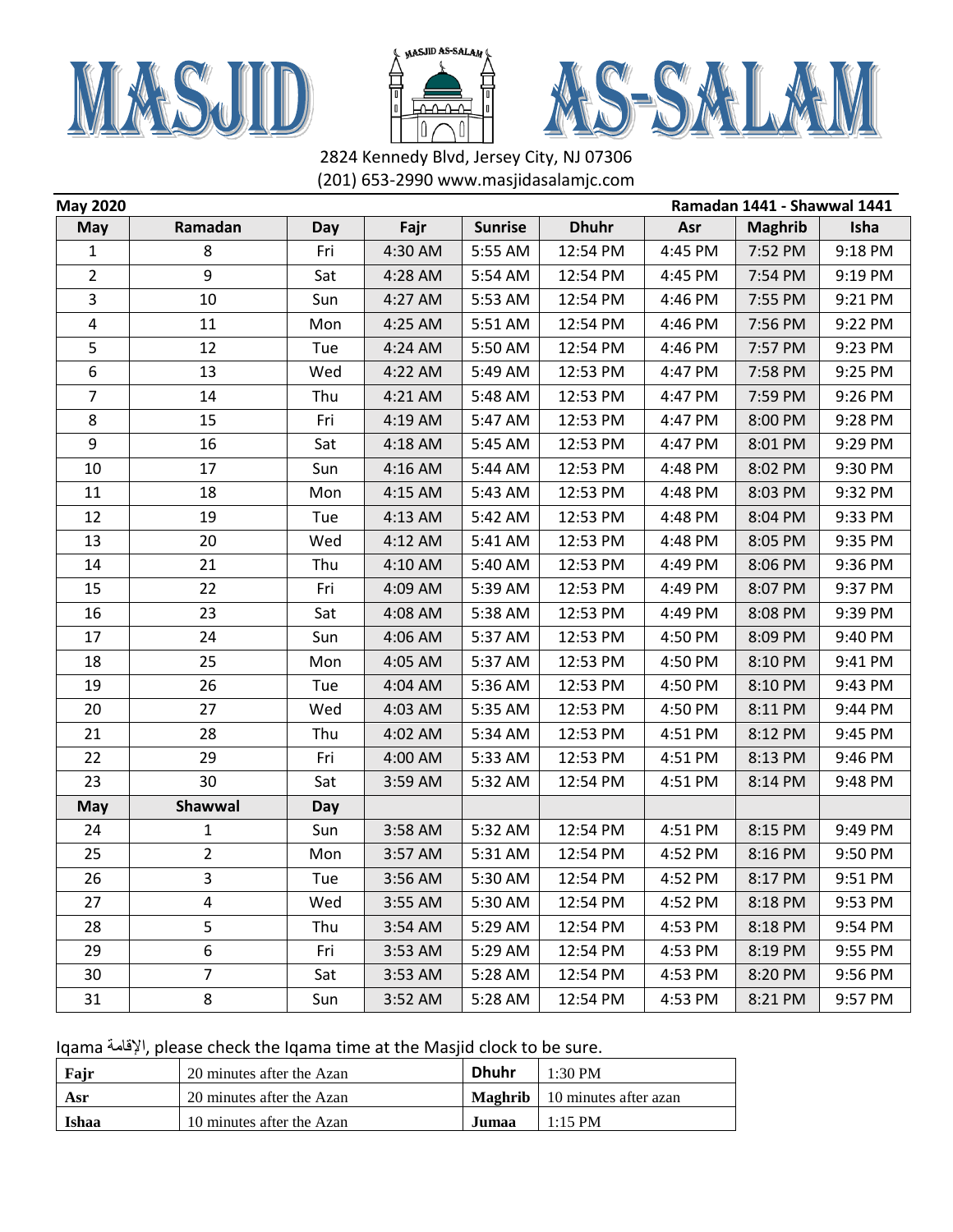





| <b>May 2020</b> |                |     |         |                |              | Ramadan 1441 - Shawwal 1441 |                |         |  |
|-----------------|----------------|-----|---------|----------------|--------------|-----------------------------|----------------|---------|--|
| <b>May</b>      | Ramadan        | Day | Fajr    | <b>Sunrise</b> | <b>Dhuhr</b> | Asr                         | <b>Maghrib</b> | Isha    |  |
| $\mathbf{1}$    | 8              | Fri | 4:30 AM | 5:55 AM        | 12:54 PM     | 4:45 PM                     | 7:52 PM        | 9:18 PM |  |
| $\overline{2}$  | 9              | Sat | 4:28 AM | 5:54 AM        | 12:54 PM     | 4:45 PM                     | 7:54 PM        | 9:19 PM |  |
| 3               | 10             | Sun | 4:27 AM | 5:53 AM        | 12:54 PM     | 4:46 PM                     | 7:55 PM        | 9:21 PM |  |
| 4               | 11             | Mon | 4:25 AM | 5:51 AM        | 12:54 PM     | 4:46 PM                     | 7:56 PM        | 9:22 PM |  |
| 5               | 12             | Tue | 4:24 AM | 5:50 AM        | 12:54 PM     | 4:46 PM                     | 7:57 PM        | 9:23 PM |  |
| 6               | 13             | Wed | 4:22 AM | 5:49 AM        | 12:53 PM     | 4:47 PM                     | 7:58 PM        | 9:25 PM |  |
| 7               | 14             | Thu | 4:21 AM | 5:48 AM        | 12:53 PM     | 4:47 PM                     | 7:59 PM        | 9:26 PM |  |
| 8               | 15             | Fri | 4:19 AM | 5:47 AM        | 12:53 PM     | 4:47 PM                     | 8:00 PM        | 9:28 PM |  |
| 9               | 16             | Sat | 4:18 AM | 5:45 AM        | 12:53 PM     | 4:47 PM                     | 8:01 PM        | 9:29 PM |  |
| 10              | 17             | Sun | 4:16 AM | 5:44 AM        | 12:53 PM     | 4:48 PM                     | 8:02 PM        | 9:30 PM |  |
| 11              | 18             | Mon | 4:15 AM | 5:43 AM        | 12:53 PM     | 4:48 PM                     | 8:03 PM        | 9:32 PM |  |
| 12              | 19             | Tue | 4:13 AM | 5:42 AM        | 12:53 PM     | 4:48 PM                     | 8:04 PM        | 9:33 PM |  |
| 13              | 20             | Wed | 4:12 AM | 5:41 AM        | 12:53 PM     | 4:48 PM                     | 8:05 PM        | 9:35 PM |  |
| 14              | 21             | Thu | 4:10 AM | 5:40 AM        | 12:53 PM     | 4:49 PM                     | 8:06 PM        | 9:36 PM |  |
| 15              | 22             | Fri | 4:09 AM | 5:39 AM        | 12:53 PM     | 4:49 PM                     | 8:07 PM        | 9:37 PM |  |
| 16              | 23             | Sat | 4:08 AM | 5:38 AM        | 12:53 PM     | 4:49 PM                     | 8:08 PM        | 9:39 PM |  |
| 17              | 24             | Sun | 4:06 AM | 5:37 AM        | 12:53 PM     | 4:50 PM                     | 8:09 PM        | 9:40 PM |  |
| 18              | 25             | Mon | 4:05 AM | 5:37 AM        | 12:53 PM     | 4:50 PM                     | 8:10 PM        | 9:41 PM |  |
| 19              | 26             | Tue | 4:04 AM | 5:36 AM        | 12:53 PM     | 4:50 PM                     | 8:10 PM        | 9:43 PM |  |
| 20              | 27             | Wed | 4:03 AM | 5:35 AM        | 12:53 PM     | 4:50 PM                     | 8:11 PM        | 9:44 PM |  |
| 21              | 28             | Thu | 4:02 AM | 5:34 AM        | 12:53 PM     | 4:51 PM                     | 8:12 PM        | 9:45 PM |  |
| 22              | 29             | Fri | 4:00 AM | 5:33 AM        | 12:53 PM     | 4:51 PM                     | 8:13 PM        | 9:46 PM |  |
| 23              | 30             | Sat | 3:59 AM | 5:32 AM        | 12:54 PM     | 4:51 PM                     | 8:14 PM        | 9:48 PM |  |
| May             | Shawwal        | Day |         |                |              |                             |                |         |  |
| 24              | 1              | Sun | 3:58 AM | 5:32 AM        | 12:54 PM     | 4:51 PM                     | 8:15 PM        | 9:49 PM |  |
| 25              | $\overline{2}$ | Mon | 3:57 AM | 5:31 AM        | 12:54 PM     | 4:52 PM                     | 8:16 PM        | 9:50 PM |  |
| 26              | 3              | Tue | 3:56 AM | 5:30 AM        | 12:54 PM     | 4:52 PM                     | 8:17 PM        | 9:51 PM |  |
| 27              | 4              | Wed | 3:55 AM | 5:30 AM        | 12:54 PM     | 4:52 PM                     | 8:18 PM        | 9:53 PM |  |
| 28              | 5              | Thu | 3:54 AM | 5:29 AM        | 12:54 PM     | 4:53 PM                     | 8:18 PM        | 9:54 PM |  |
| 29              | 6              | Fri | 3:53 AM | 5:29 AM        | 12:54 PM     | 4:53 PM                     | 8:19 PM        | 9:55 PM |  |
| 30              | $\overline{7}$ | Sat | 3:53 AM | 5:28 AM        | 12:54 PM     | 4:53 PM                     | 8:20 PM        | 9:56 PM |  |
| 31              | 8              | Sun | 3:52 AM | 5:28 AM        | 12:54 PM     | 4:53 PM                     | 8:21 PM        | 9:57 PM |  |

Iqama اإلقامة, please check the Iqama time at the Masjid clock to be sure.

| Fair  | 20 minutes after the Azan | <b>Dhuhr</b> | $1:30$ PM                              |
|-------|---------------------------|--------------|----------------------------------------|
| Asr   | 20 minutes after the Azan |              | <b>Maghrib</b>   10 minutes after azan |
| Ishaa | 10 minutes after the Azan | Jumaa        | $1:15$ PM                              |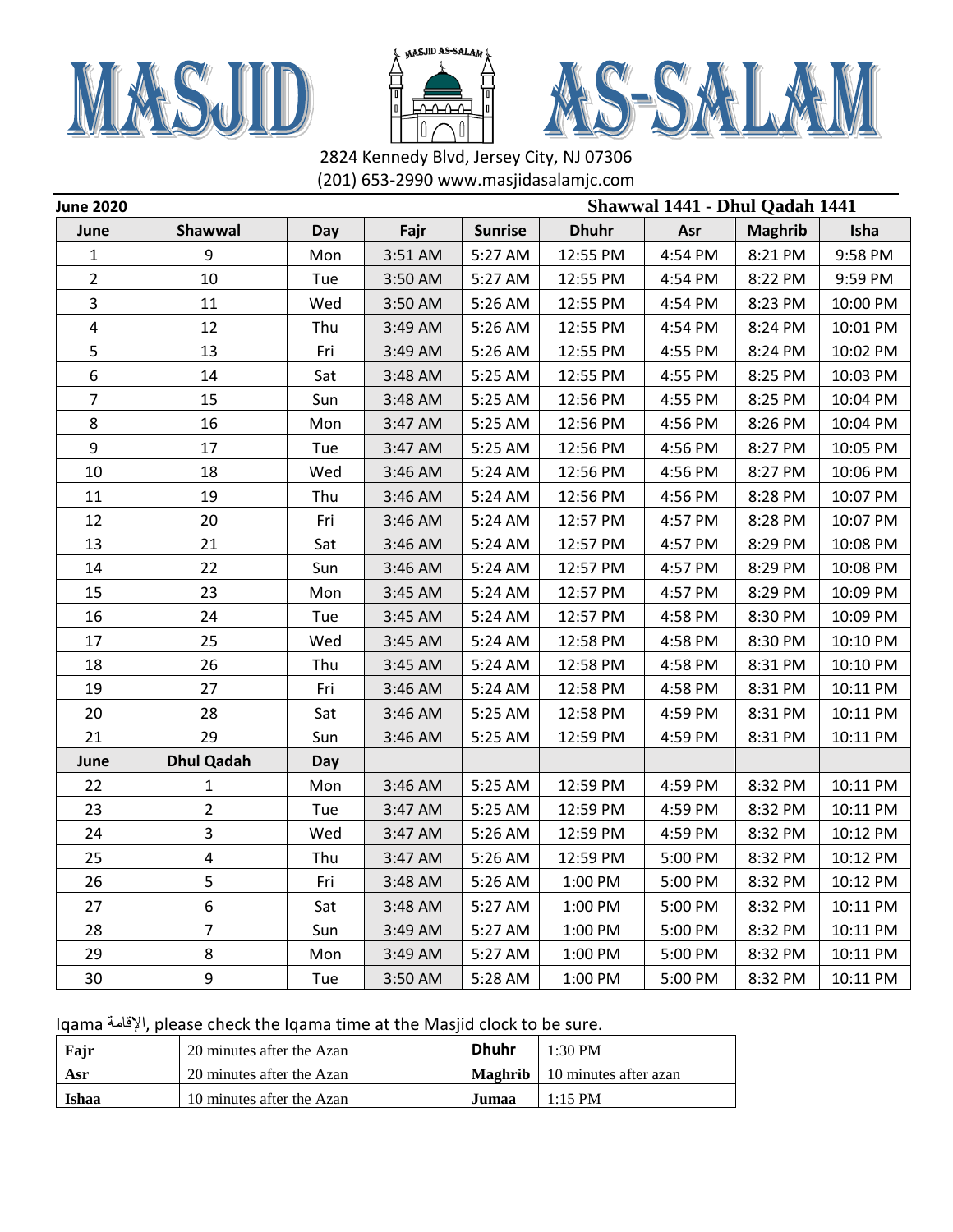





| <b>June 2020</b> |                         |     |         |                | Shawwal 1441 - Dhul Qadah 1441 |         |                |          |
|------------------|-------------------------|-----|---------|----------------|--------------------------------|---------|----------------|----------|
| June             | Shawwal                 | Day | Fajr    | <b>Sunrise</b> | <b>Dhuhr</b>                   | Asr     | <b>Maghrib</b> | Isha     |
| 1                | 9                       | Mon | 3:51 AM | 5:27 AM        | 12:55 PM                       | 4:54 PM | 8:21 PM        | 9:58 PM  |
| $\overline{2}$   | 10                      | Tue | 3:50 AM | 5:27 AM        | 12:55 PM                       | 4:54 PM | 8:22 PM        | 9:59 PM  |
| 3                | 11                      | Wed | 3:50 AM | 5:26 AM        | 12:55 PM                       | 4:54 PM | 8:23 PM        | 10:00 PM |
| 4                | 12                      | Thu | 3:49 AM | 5:26 AM        | 12:55 PM                       | 4:54 PM | 8:24 PM        | 10:01 PM |
| 5                | 13                      | Fri | 3:49 AM | 5:26 AM        | 12:55 PM                       | 4:55 PM | 8:24 PM        | 10:02 PM |
| 6                | 14                      | Sat | 3:48 AM | 5:25 AM        | 12:55 PM                       | 4:55 PM | 8:25 PM        | 10:03 PM |
| $\overline{7}$   | 15                      | Sun | 3:48 AM | 5:25 AM        | 12:56 PM                       | 4:55 PM | 8:25 PM        | 10:04 PM |
| 8                | 16                      | Mon | 3:47 AM | 5:25 AM        | 12:56 PM                       | 4:56 PM | 8:26 PM        | 10:04 PM |
| 9                | 17                      | Tue | 3:47 AM | 5:25 AM        | 12:56 PM                       | 4:56 PM | 8:27 PM        | 10:05 PM |
| 10               | 18                      | Wed | 3:46 AM | 5:24 AM        | 12:56 PM                       | 4:56 PM | 8:27 PM        | 10:06 PM |
| 11               | 19                      | Thu | 3:46 AM | 5:24 AM        | 12:56 PM                       | 4:56 PM | 8:28 PM        | 10:07 PM |
| 12               | 20                      | Fri | 3:46 AM | 5:24 AM        | 12:57 PM                       | 4:57 PM | 8:28 PM        | 10:07 PM |
| 13               | 21                      | Sat | 3:46 AM | 5:24 AM        | 12:57 PM                       | 4:57 PM | 8:29 PM        | 10:08 PM |
| 14               | 22                      | Sun | 3:46 AM | 5:24 AM        | 12:57 PM                       | 4:57 PM | 8:29 PM        | 10:08 PM |
| 15               | 23                      | Mon | 3:45 AM | 5:24 AM        | 12:57 PM                       | 4:57 PM | 8:29 PM        | 10:09 PM |
| 16               | 24                      | Tue | 3:45 AM | 5:24 AM        | 12:57 PM                       | 4:58 PM | 8:30 PM        | 10:09 PM |
| 17               | 25                      | Wed | 3:45 AM | 5:24 AM        | 12:58 PM                       | 4:58 PM | 8:30 PM        | 10:10 PM |
| 18               | 26                      | Thu | 3:45 AM | 5:24 AM        | 12:58 PM                       | 4:58 PM | 8:31 PM        | 10:10 PM |
| 19               | 27                      | Fri | 3:46 AM | 5:24 AM        | 12:58 PM                       | 4:58 PM | 8:31 PM        | 10:11 PM |
| 20               | 28                      | Sat | 3:46 AM | 5:25 AM        | 12:58 PM                       | 4:59 PM | 8:31 PM        | 10:11 PM |
| 21               | 29                      | Sun | 3:46 AM | 5:25 AM        | 12:59 PM                       | 4:59 PM | 8:31 PM        | 10:11 PM |
| June             | <b>Dhul Qadah</b>       | Day |         |                |                                |         |                |          |
| 22               | 1                       | Mon | 3:46 AM | 5:25 AM        | 12:59 PM                       | 4:59 PM | 8:32 PM        | 10:11 PM |
| 23               | 2                       | Tue | 3:47 AM | 5:25 AM        | 12:59 PM                       | 4:59 PM | 8:32 PM        | 10:11 PM |
| 24               | 3                       | Wed | 3:47 AM | 5:26 AM        | 12:59 PM                       | 4:59 PM | 8:32 PM        | 10:12 PM |
| 25               | $\overline{\mathbf{4}}$ | Thu | 3:47 AM | 5:26 AM        | 12:59 PM                       | 5:00 PM | 8:32 PM        | 10:12 PM |
| 26               | 5                       | Fri | 3:48 AM | 5:26 AM        | 1:00 PM                        | 5:00 PM | 8:32 PM        | 10:12 PM |
| 27               | 6                       | Sat | 3:48 AM | 5:27 AM        | 1:00 PM                        | 5:00 PM | 8:32 PM        | 10:11 PM |
| 28               | 7                       | Sun | 3:49 AM | 5:27 AM        | 1:00 PM                        | 5:00 PM | 8:32 PM        | 10:11 PM |
| 29               | 8                       | Mon | 3:49 AM | 5:27 AM        | 1:00 PM                        | 5:00 PM | 8:32 PM        | 10:11 PM |
| 30               | 9                       | Tue | 3:50 AM | 5:28 AM        | 1:00 PM                        | 5:00 PM | 8:32 PM        | 10:11 PM |

| Fajr  | 20 minutes after the Azan | <b>Dhuhr</b> | 1.30 PM                                |
|-------|---------------------------|--------------|----------------------------------------|
| Asr   | 20 minutes after the Azan |              | <b>Maghrib</b>   10 minutes after azan |
| Ishaa | 10 minutes after the Azan | Jumaa.       | $1:15$ PM                              |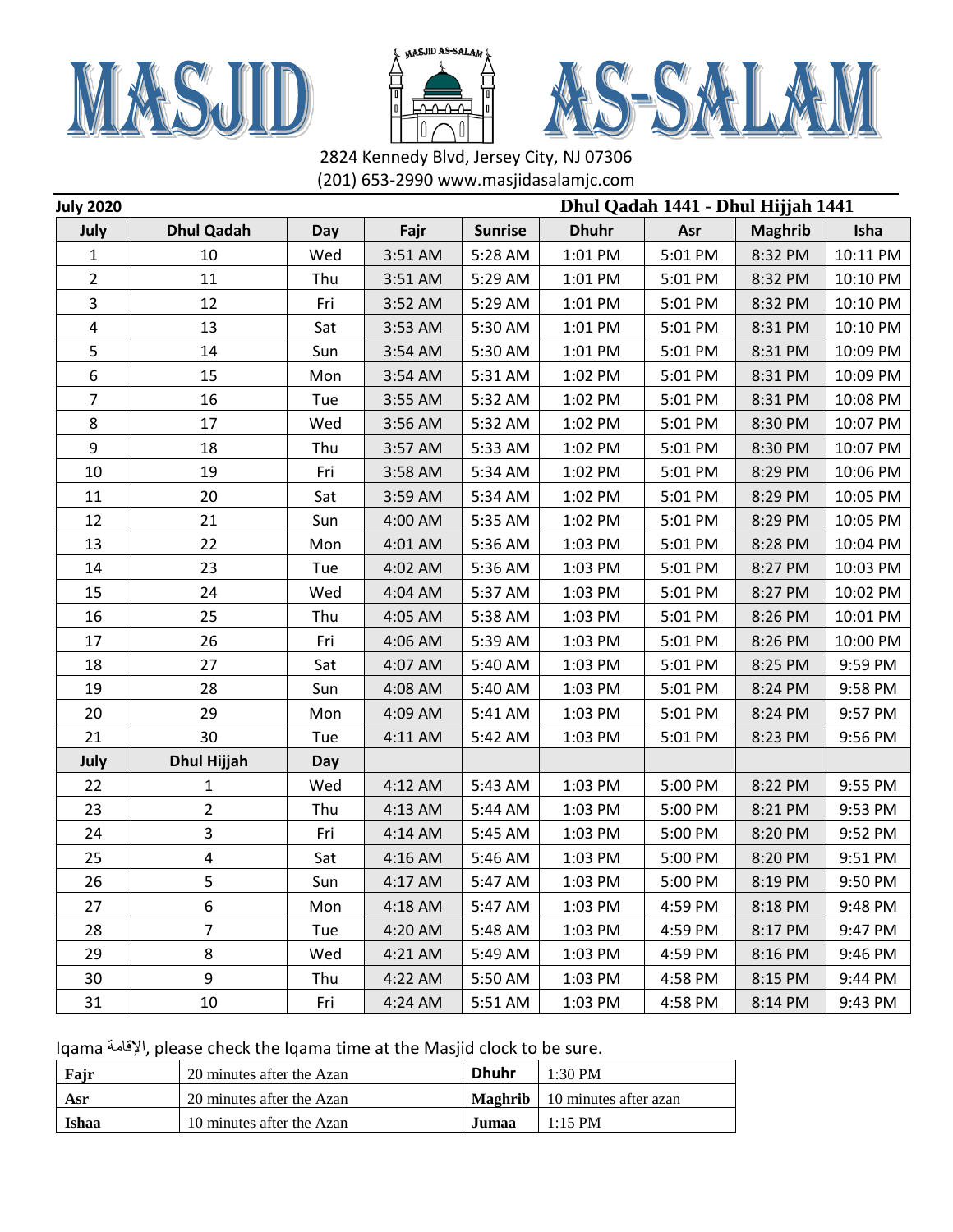





| <b>July 2020</b> |                   |     |         |                |              | Dhul Qadah 1441 - Dhul Hijjah 1441 |                |          |
|------------------|-------------------|-----|---------|----------------|--------------|------------------------------------|----------------|----------|
| July             | <b>Dhul Qadah</b> | Day | Fajr    | <b>Sunrise</b> | <b>Dhuhr</b> | Asr                                | <b>Maghrib</b> | Isha     |
| 1                | 10                | Wed | 3:51 AM | 5:28 AM        | 1:01 PM      | 5:01 PM                            | 8:32 PM        | 10:11 PM |
| $\overline{2}$   | 11                | Thu | 3:51 AM | 5:29 AM        | 1:01 PM      | 5:01 PM                            | 8:32 PM        | 10:10 PM |
| 3                | 12                | Fri | 3:52 AM | 5:29 AM        | 1:01 PM      | 5:01 PM                            | 8:32 PM        | 10:10 PM |
| 4                | 13                | Sat | 3:53 AM | 5:30 AM        | 1:01 PM      | 5:01 PM                            | 8:31 PM        | 10:10 PM |
| 5                | 14                | Sun | 3:54 AM | 5:30 AM        | 1:01 PM      | 5:01 PM                            | 8:31 PM        | 10:09 PM |
| 6                | 15                | Mon | 3:54 AM | 5:31 AM        | 1:02 PM      | 5:01 PM                            | 8:31 PM        | 10:09 PM |
| $\overline{7}$   | 16                | Tue | 3:55 AM | 5:32 AM        | 1:02 PM      | 5:01 PM                            | 8:31 PM        | 10:08 PM |
| 8                | 17                | Wed | 3:56 AM | 5:32 AM        | 1:02 PM      | 5:01 PM                            | 8:30 PM        | 10:07 PM |
| 9                | 18                | Thu | 3:57 AM | 5:33 AM        | 1:02 PM      | 5:01 PM                            | 8:30 PM        | 10:07 PM |
| 10               | 19                | Fri | 3:58 AM | 5:34 AM        | 1:02 PM      | 5:01 PM                            | 8:29 PM        | 10:06 PM |
| 11               | 20                | Sat | 3:59 AM | 5:34 AM        | 1:02 PM      | 5:01 PM                            | 8:29 PM        | 10:05 PM |
| 12               | 21                | Sun | 4:00 AM | 5:35 AM        | 1:02 PM      | 5:01 PM                            | 8:29 PM        | 10:05 PM |
| 13               | 22                | Mon | 4:01 AM | 5:36 AM        | 1:03 PM      | 5:01 PM                            | 8:28 PM        | 10:04 PM |
| 14               | 23                | Tue | 4:02 AM | 5:36 AM        | 1:03 PM      | 5:01 PM                            | 8:27 PM        | 10:03 PM |
| 15               | 24                | Wed | 4:04 AM | 5:37 AM        | 1:03 PM      | 5:01 PM                            | 8:27 PM        | 10:02 PM |
| 16               | 25                | Thu | 4:05 AM | 5:38 AM        | 1:03 PM      | 5:01 PM                            | 8:26 PM        | 10:01 PM |
| 17               | 26                | Fri | 4:06 AM | 5:39 AM        | 1:03 PM      | 5:01 PM                            | 8:26 PM        | 10:00 PM |
| 18               | 27                | Sat | 4:07 AM | 5:40 AM        | 1:03 PM      | 5:01 PM                            | 8:25 PM        | 9:59 PM  |
| 19               | 28                | Sun | 4:08 AM | 5:40 AM        | 1:03 PM      | 5:01 PM                            | 8:24 PM        | 9:58 PM  |
| 20               | 29                | Mon | 4:09 AM | 5:41 AM        | 1:03 PM      | 5:01 PM                            | 8:24 PM        | 9:57 PM  |
| 21               | 30                | Tue | 4:11 AM | 5:42 AM        | 1:03 PM      | 5:01 PM                            | 8:23 PM        | 9:56 PM  |
| July             | Dhul Hijjah       | Day |         |                |              |                                    |                |          |
| 22               | 1                 | Wed | 4:12 AM | 5:43 AM        | 1:03 PM      | 5:00 PM                            | 8:22 PM        | 9:55 PM  |
| 23               | $\overline{2}$    | Thu | 4:13 AM | 5:44 AM        | 1:03 PM      | 5:00 PM                            | 8:21 PM        | 9:53 PM  |
| 24               | 3                 | Fri | 4:14 AM | 5:45 AM        | 1:03 PM      | 5:00 PM                            | 8:20 PM        | 9:52 PM  |
| 25               | 4                 | Sat | 4:16 AM | 5:46 AM        | 1:03 PM      | 5:00 PM                            | 8:20 PM        | 9:51 PM  |
| 26               | 5                 | Sun | 4:17 AM | 5:47 AM        | 1:03 PM      | 5:00 PM                            | 8:19 PM        | 9:50 PM  |
| 27               | 6                 | Mon | 4:18 AM | 5:47 AM        | 1:03 PM      | 4:59 PM                            | 8:18 PM        | 9:48 PM  |
| 28               | $\overline{7}$    | Tue | 4:20 AM | 5:48 AM        | 1:03 PM      | 4:59 PM                            | 8:17 PM        | 9:47 PM  |
| 29               | 8                 | Wed | 4:21 AM | 5:49 AM        | 1:03 PM      | 4:59 PM                            | 8:16 PM        | 9:46 PM  |
| 30               | 9                 | Thu | 4:22 AM | 5:50 AM        | 1:03 PM      | 4:58 PM                            | 8:15 PM        | 9:44 PM  |
| 31               | 10                | Fri | 4:24 AM | 5:51 AM        | 1:03 PM      | 4:58 PM                            | 8:14 PM        | 9:43 PM  |

| Fajr  | 20 minutes after the Azan | <b>Dhuhr</b> | $1:30$ PM                                    |
|-------|---------------------------|--------------|----------------------------------------------|
| Asr   | 20 minutes after the Azan |              | <b>Maghrib</b> $\vert$ 10 minutes after azan |
| Ishaa | 10 minutes after the Azan | Jumaa        | $1:15$ PM                                    |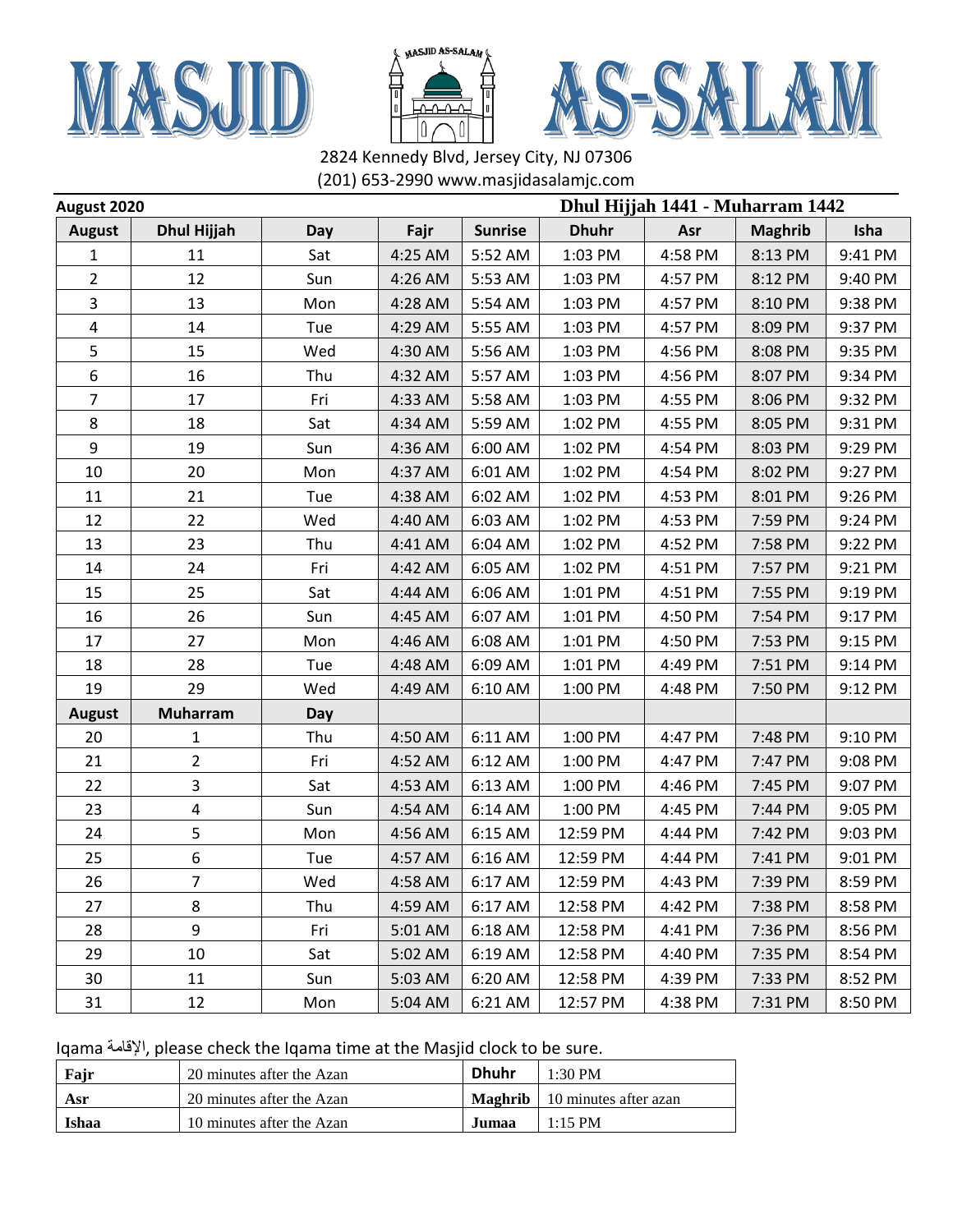





|                | Dhul Hijjah 1441 - Muharram 1442<br>August 2020 |            |         |                |              |         |                |         |
|----------------|-------------------------------------------------|------------|---------|----------------|--------------|---------|----------------|---------|
| <b>August</b>  | <b>Dhul Hijjah</b>                              | Day        | Fajr    | <b>Sunrise</b> | <b>Dhuhr</b> | Asr     | <b>Maghrib</b> | Isha    |
| 1              | 11                                              | Sat        | 4:25 AM | 5:52 AM        | 1:03 PM      | 4:58 PM | 8:13 PM        | 9:41 PM |
| $\overline{2}$ | 12                                              | Sun        | 4:26 AM | 5:53 AM        | 1:03 PM      | 4:57 PM | 8:12 PM        | 9:40 PM |
| 3              | 13                                              | Mon        | 4:28 AM | 5:54 AM        | 1:03 PM      | 4:57 PM | 8:10 PM        | 9:38 PM |
| 4              | 14                                              | Tue        | 4:29 AM | 5:55 AM        | 1:03 PM      | 4:57 PM | 8:09 PM        | 9:37 PM |
| 5              | 15                                              | Wed        | 4:30 AM | 5:56 AM        | 1:03 PM      | 4:56 PM | 8:08 PM        | 9:35 PM |
| 6              | 16                                              | Thu        | 4:32 AM | 5:57 AM        | 1:03 PM      | 4:56 PM | 8:07 PM        | 9:34 PM |
| $\overline{7}$ | 17                                              | Fri        | 4:33 AM | 5:58 AM        | 1:03 PM      | 4:55 PM | 8:06 PM        | 9:32 PM |
| 8              | 18                                              | Sat        | 4:34 AM | 5:59 AM        | 1:02 PM      | 4:55 PM | 8:05 PM        | 9:31 PM |
| 9              | 19                                              | Sun        | 4:36 AM | 6:00 AM        | 1:02 PM      | 4:54 PM | 8:03 PM        | 9:29 PM |
| 10             | 20                                              | Mon        | 4:37 AM | 6:01 AM        | 1:02 PM      | 4:54 PM | 8:02 PM        | 9:27 PM |
| 11             | 21                                              | Tue        | 4:38 AM | 6:02 AM        | 1:02 PM      | 4:53 PM | 8:01 PM        | 9:26 PM |
| 12             | 22                                              | Wed        | 4:40 AM | 6:03 AM        | 1:02 PM      | 4:53 PM | 7:59 PM        | 9:24 PM |
| 13             | 23                                              | Thu        | 4:41 AM | 6:04 AM        | 1:02 PM      | 4:52 PM | 7:58 PM        | 9:22 PM |
| 14             | 24                                              | Fri        | 4:42 AM | 6:05 AM        | 1:02 PM      | 4:51 PM | 7:57 PM        | 9:21 PM |
| 15             | 25                                              | Sat        | 4:44 AM | 6:06 AM        | 1:01 PM      | 4:51 PM | 7:55 PM        | 9:19 PM |
| 16             | 26                                              | Sun        | 4:45 AM | 6:07 AM        | 1:01 PM      | 4:50 PM | 7:54 PM        | 9:17 PM |
| 17             | 27                                              | Mon        | 4:46 AM | 6:08 AM        | 1:01 PM      | 4:50 PM | 7:53 PM        | 9:15 PM |
| 18             | 28                                              | Tue        | 4:48 AM | 6:09 AM        | 1:01 PM      | 4:49 PM | 7:51 PM        | 9:14 PM |
| 19             | 29                                              | Wed        | 4:49 AM | 6:10 AM        | 1:00 PM      | 4:48 PM | 7:50 PM        | 9:12 PM |
| <b>August</b>  | <b>Muharram</b>                                 | <b>Day</b> |         |                |              |         |                |         |
| 20             | $\mathbf{1}$                                    | Thu        | 4:50 AM | 6:11 AM        | 1:00 PM      | 4:47 PM | 7:48 PM        | 9:10 PM |
| 21             | $\overline{2}$                                  | Fri        | 4:52 AM | 6:12 AM        | 1:00 PM      | 4:47 PM | 7:47 PM        | 9:08 PM |
| 22             | 3                                               | Sat        | 4:53 AM | 6:13 AM        | 1:00 PM      | 4:46 PM | 7:45 PM        | 9:07 PM |
| 23             | 4                                               | Sun        | 4:54 AM | 6:14 AM        | 1:00 PM      | 4:45 PM | 7:44 PM        | 9:05 PM |
| 24             | 5                                               | Mon        | 4:56 AM | 6:15 AM        | 12:59 PM     | 4:44 PM | 7:42 PM        | 9:03 PM |
| 25             | 6                                               | Tue        | 4:57 AM | 6:16 AM        | 12:59 PM     | 4:44 PM | 7:41 PM        | 9:01 PM |
| 26             | $\overline{7}$                                  | Wed        | 4:58 AM | 6:17 AM        | 12:59 PM     | 4:43 PM | 7:39 PM        | 8:59 PM |
| 27             | 8                                               | Thu        | 4:59 AM | 6:17 AM        | 12:58 PM     | 4:42 PM | 7:38 PM        | 8:58 PM |
| 28             | 9                                               | Fri        | 5:01 AM | 6:18 AM        | 12:58 PM     | 4:41 PM | 7:36 PM        | 8:56 PM |
| 29             | 10                                              | Sat        | 5:02 AM | 6:19 AM        | 12:58 PM     | 4:40 PM | 7:35 PM        | 8:54 PM |
| 30             | 11                                              | Sun        | 5:03 AM | 6:20 AM        | 12:58 PM     | 4:39 PM | 7:33 PM        | 8:52 PM |
| 31             | 12                                              | Mon        | 5:04 AM | 6:21 AM        | 12:57 PM     | 4:38 PM | 7:31 PM        | 8:50 PM |

| Fajr  | 20 minutes after the Azan | <b>Dhuhr</b> | $1:30$ PM                                    |
|-------|---------------------------|--------------|----------------------------------------------|
| Asr   | 20 minutes after the Azan |              | <b>Maghrib</b> $\vert$ 10 minutes after azan |
| Ishaa | 10 minutes after the Azan | Jumaa        | $1:15$ PM                                    |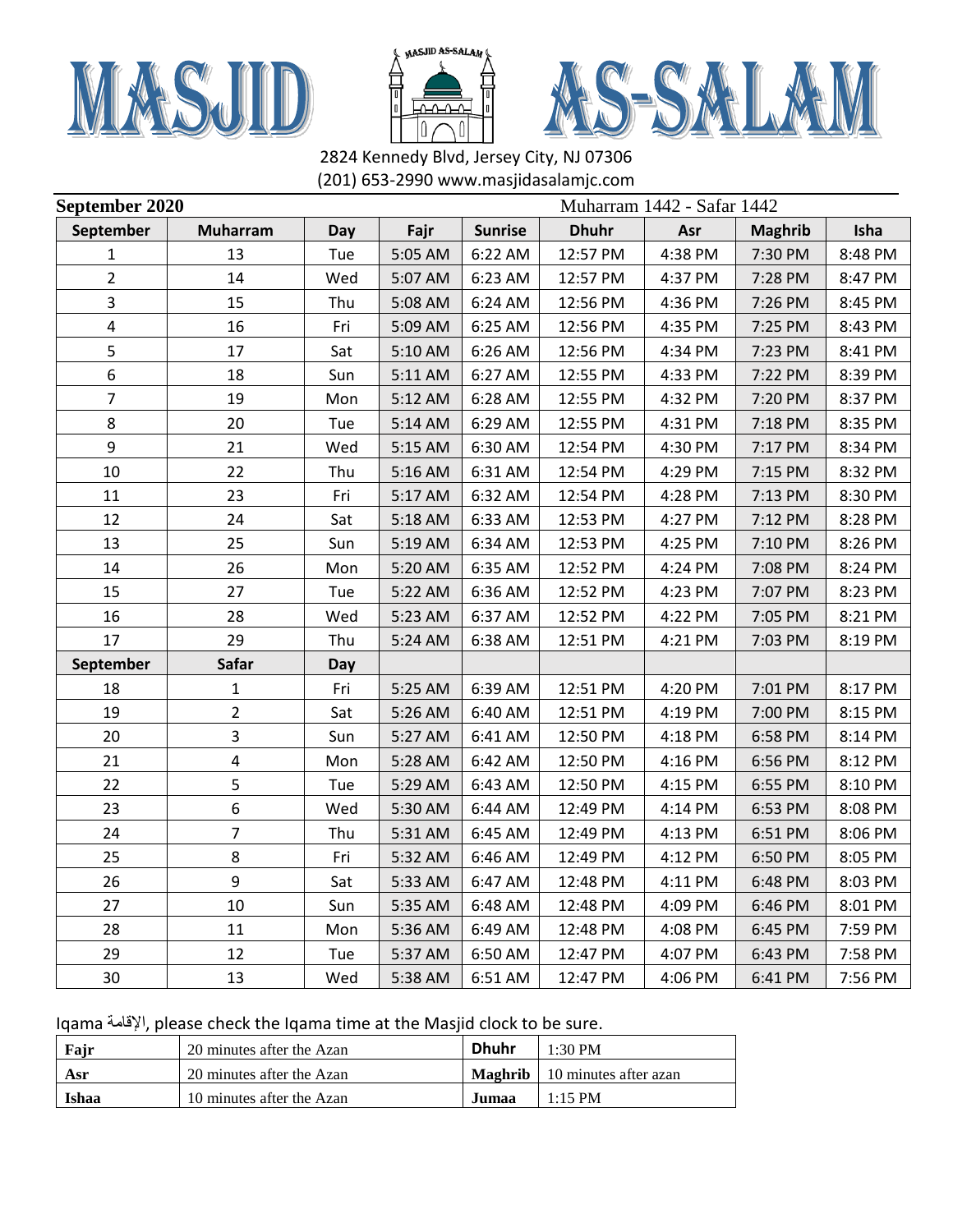





| September 2020 |                 |     |         |                | Muharram 1442 - Safar 1442 |         |                |         |  |
|----------------|-----------------|-----|---------|----------------|----------------------------|---------|----------------|---------|--|
| September      | <b>Muharram</b> | Day | Fajr    | <b>Sunrise</b> | <b>Dhuhr</b>               | Asr     | <b>Maghrib</b> | Isha    |  |
| 1              | 13              | Tue | 5:05 AM | 6:22 AM        | 12:57 PM                   | 4:38 PM | 7:30 PM        | 8:48 PM |  |
| $\overline{2}$ | 14              | Wed | 5:07 AM | 6:23 AM        | 12:57 PM                   | 4:37 PM | 7:28 PM        | 8:47 PM |  |
| 3              | 15              | Thu | 5:08 AM | 6:24 AM        | 12:56 PM                   | 4:36 PM | 7:26 PM        | 8:45 PM |  |
| 4              | 16              | Fri | 5:09 AM | 6:25 AM        | 12:56 PM                   | 4:35 PM | 7:25 PM        | 8:43 PM |  |
| 5              | 17              | Sat | 5:10 AM | 6:26 AM        | 12:56 PM                   | 4:34 PM | 7:23 PM        | 8:41 PM |  |
| 6              | 18              | Sun | 5:11 AM | 6:27 AM        | 12:55 PM                   | 4:33 PM | 7:22 PM        | 8:39 PM |  |
| $\overline{7}$ | 19              | Mon | 5:12 AM | 6:28 AM        | 12:55 PM                   | 4:32 PM | 7:20 PM        | 8:37 PM |  |
| 8              | 20              | Tue | 5:14 AM | 6:29 AM        | 12:55 PM                   | 4:31 PM | 7:18 PM        | 8:35 PM |  |
| 9              | 21              | Wed | 5:15 AM | 6:30 AM        | 12:54 PM                   | 4:30 PM | 7:17 PM        | 8:34 PM |  |
| 10             | 22              | Thu | 5:16 AM | 6:31 AM        | 12:54 PM                   | 4:29 PM | 7:15 PM        | 8:32 PM |  |
| 11             | 23              | Fri | 5:17 AM | 6:32 AM        | 12:54 PM                   | 4:28 PM | 7:13 PM        | 8:30 PM |  |
| 12             | 24              | Sat | 5:18 AM | 6:33 AM        | 12:53 PM                   | 4:27 PM | 7:12 PM        | 8:28 PM |  |
| 13             | 25              | Sun | 5:19 AM | 6:34 AM        | 12:53 PM                   | 4:25 PM | 7:10 PM        | 8:26 PM |  |
| 14             | 26              | Mon | 5:20 AM | 6:35 AM        | 12:52 PM                   | 4:24 PM | 7:08 PM        | 8:24 PM |  |
| 15             | 27              | Tue | 5:22 AM | 6:36 AM        | 12:52 PM                   | 4:23 PM | 7:07 PM        | 8:23 PM |  |
| 16             | 28              | Wed | 5:23 AM | 6:37 AM        | 12:52 PM                   | 4:22 PM | 7:05 PM        | 8:21 PM |  |
| 17             | 29              | Thu | 5:24 AM | 6:38 AM        | 12:51 PM                   | 4:21 PM | 7:03 PM        | 8:19 PM |  |
| September      | <b>Safar</b>    | Day |         |                |                            |         |                |         |  |
| 18             | 1               | Fri | 5:25 AM | 6:39 AM        | 12:51 PM                   | 4:20 PM | 7:01 PM        | 8:17 PM |  |
| 19             | $\overline{2}$  | Sat | 5:26 AM | 6:40 AM        | 12:51 PM                   | 4:19 PM | 7:00 PM        | 8:15 PM |  |
| 20             | 3               | Sun | 5:27 AM | 6:41 AM        | 12:50 PM                   | 4:18 PM | 6:58 PM        | 8:14 PM |  |
| 21             | $\pmb{4}$       | Mon | 5:28 AM | 6:42 AM        | 12:50 PM                   | 4:16 PM | 6:56 PM        | 8:12 PM |  |
| 22             | 5               | Tue | 5:29 AM | 6:43 AM        | 12:50 PM                   | 4:15 PM | 6:55 PM        | 8:10 PM |  |
| 23             | 6               | Wed | 5:30 AM | 6:44 AM        | 12:49 PM                   | 4:14 PM | 6:53 PM        | 8:08 PM |  |
| 24             | $\overline{7}$  | Thu | 5:31 AM | 6:45 AM        | 12:49 PM                   | 4:13 PM | 6:51 PM        | 8:06 PM |  |
| 25             | 8               | Fri | 5:32 AM | 6:46 AM        | 12:49 PM                   | 4:12 PM | 6:50 PM        | 8:05 PM |  |
| 26             | 9               | Sat | 5:33 AM | 6:47 AM        | 12:48 PM                   | 4:11 PM | 6:48 PM        | 8:03 PM |  |
| 27             | 10              | Sun | 5:35 AM | 6:48 AM        | 12:48 PM                   | 4:09 PM | 6:46 PM        | 8:01 PM |  |
| 28             | 11              | Mon | 5:36 AM | 6:49 AM        | 12:48 PM                   | 4:08 PM | 6:45 PM        | 7:59 PM |  |
| 29             | 12              | Tue | 5:37 AM | 6:50 AM        | 12:47 PM                   | 4:07 PM | 6:43 PM        | 7:58 PM |  |
| 30             | 13              | Wed | 5:38 AM | 6:51 AM        | 12:47 PM                   | 4:06 PM | 6:41 PM        | 7:56 PM |  |

| Fajr  | 20 minutes after the Azan | <b>Dhuhr</b> | $1:30 \text{ PM}$                      |
|-------|---------------------------|--------------|----------------------------------------|
| Asr   | 20 minutes after the Azan |              | <b>Maghrib</b>   10 minutes after azan |
| Ishaa | 10 minutes after the Azan | Jumaa.       | $1:15$ PM                              |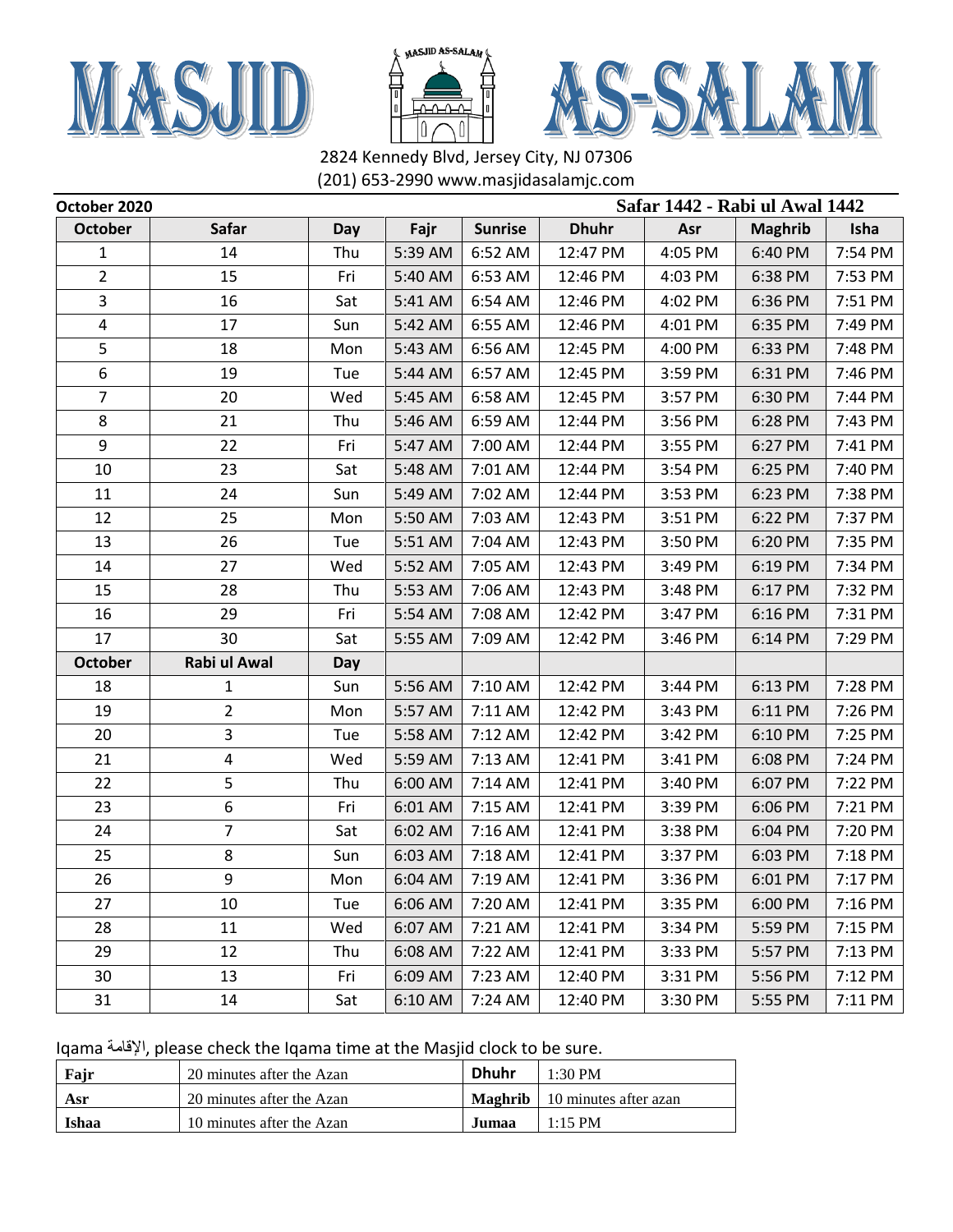





| October 2020   | Safar 1442 - Rabi ul Awal 1442 |     |         |                |              |         |                |         |
|----------------|--------------------------------|-----|---------|----------------|--------------|---------|----------------|---------|
| <b>October</b> | Safar                          | Day | Fajr    | <b>Sunrise</b> | <b>Dhuhr</b> | Asr     | <b>Maghrib</b> | Isha    |
| 1              | 14                             | Thu | 5:39 AM | 6:52 AM        | 12:47 PM     | 4:05 PM | 6:40 PM        | 7:54 PM |
| $\overline{2}$ | 15                             | Fri | 5:40 AM | 6:53 AM        | 12:46 PM     | 4:03 PM | 6:38 PM        | 7:53 PM |
| 3              | 16                             | Sat | 5:41 AM | 6:54 AM        | 12:46 PM     | 4:02 PM | 6:36 PM        | 7:51 PM |
| 4              | 17                             | Sun | 5:42 AM | 6:55 AM        | 12:46 PM     | 4:01 PM | 6:35 PM        | 7:49 PM |
| 5              | 18                             | Mon | 5:43 AM | 6:56 AM        | 12:45 PM     | 4:00 PM | 6:33 PM        | 7:48 PM |
| 6              | 19                             | Tue | 5:44 AM | 6:57 AM        | 12:45 PM     | 3:59 PM | 6:31 PM        | 7:46 PM |
| $\overline{7}$ | 20                             | Wed | 5:45 AM | 6:58 AM        | 12:45 PM     | 3:57 PM | 6:30 PM        | 7:44 PM |
| 8              | 21                             | Thu | 5:46 AM | 6:59 AM        | 12:44 PM     | 3:56 PM | 6:28 PM        | 7:43 PM |
| 9              | 22                             | Fri | 5:47 AM | 7:00 AM        | 12:44 PM     | 3:55 PM | 6:27 PM        | 7:41 PM |
| 10             | 23                             | Sat | 5:48 AM | 7:01 AM        | 12:44 PM     | 3:54 PM | 6:25 PM        | 7:40 PM |
| 11             | 24                             | Sun | 5:49 AM | 7:02 AM        | 12:44 PM     | 3:53 PM | 6:23 PM        | 7:38 PM |
| 12             | 25                             | Mon | 5:50 AM | 7:03 AM        | 12:43 PM     | 3:51 PM | 6:22 PM        | 7:37 PM |
| 13             | 26                             | Tue | 5:51 AM | 7:04 AM        | 12:43 PM     | 3:50 PM | 6:20 PM        | 7:35 PM |
| 14             | 27                             | Wed | 5:52 AM | 7:05 AM        | 12:43 PM     | 3:49 PM | 6:19 PM        | 7:34 PM |
| 15             | 28                             | Thu | 5:53 AM | 7:06 AM        | 12:43 PM     | 3:48 PM | 6:17 PM        | 7:32 PM |
| 16             | 29                             | Fri | 5:54 AM | 7:08 AM        | 12:42 PM     | 3:47 PM | 6:16 PM        | 7:31 PM |
| 17             | 30                             | Sat | 5:55 AM | 7:09 AM        | 12:42 PM     | 3:46 PM | 6:14 PM        | 7:29 PM |
| <b>October</b> | Rabi ul Awal                   | Day |         |                |              |         |                |         |
| 18             | 1                              | Sun | 5:56 AM | 7:10 AM        | 12:42 PM     | 3:44 PM | 6:13 PM        | 7:28 PM |
| 19             | 2                              | Mon | 5:57 AM | 7:11 AM        | 12:42 PM     | 3:43 PM | 6:11 PM        | 7:26 PM |
| 20             | 3                              | Tue | 5:58 AM | 7:12 AM        | 12:42 PM     | 3:42 PM | 6:10 PM        | 7:25 PM |
| 21             | 4                              | Wed | 5:59 AM | 7:13 AM        | 12:41 PM     | 3:41 PM | 6:08 PM        | 7:24 PM |
| 22             | 5                              | Thu | 6:00 AM | 7:14 AM        | 12:41 PM     | 3:40 PM | 6:07 PM        | 7:22 PM |
| 23             | 6                              | Fri | 6:01 AM | 7:15 AM        | 12:41 PM     | 3:39 PM | 6:06 PM        | 7:21 PM |
| 24             | $\overline{7}$                 | Sat | 6:02 AM | 7:16 AM        | 12:41 PM     | 3:38 PM | 6:04 PM        | 7:20 PM |
| 25             | 8                              | Sun | 6:03 AM | 7:18 AM        | 12:41 PM     | 3:37 PM | 6:03 PM        | 7:18 PM |
| 26             | 9                              | Mon | 6:04 AM | 7:19 AM        | 12:41 PM     | 3:36 PM | 6:01 PM        | 7:17 PM |
| 27             | 10                             | Tue | 6:06 AM | 7:20 AM        | 12:41 PM     | 3:35 PM | 6:00 PM        | 7:16 PM |
| 28             | 11                             | Wed | 6:07 AM | 7:21 AM        | 12:41 PM     | 3:34 PM | 5:59 PM        | 7:15 PM |
| 29             | 12                             | Thu | 6:08 AM | 7:22 AM        | 12:41 PM     | 3:33 PM | 5:57 PM        | 7:13 PM |
| 30             | 13                             | Fri | 6:09 AM | 7:23 AM        | 12:40 PM     | 3:31 PM | 5:56 PM        | 7:12 PM |
| 31             | 14                             | Sat | 6:10 AM | 7:24 AM        | 12:40 PM     | 3:30 PM | 5:55 PM        | 7:11 PM |

Iqama اإلقامة, please check the Iqama time at the Masjid clock to be sure.

| Fajr  | 20 minutes after the Azan | <b>Dhuhr</b> | $1:30$ PM                                    |
|-------|---------------------------|--------------|----------------------------------------------|
| Asr   | 20 minutes after the Azan |              | <b>Maghrib</b> $\vert$ 10 minutes after azan |
| Ishaa | 10 minutes after the Azan | Jumaa        | $1:15$ PM                                    |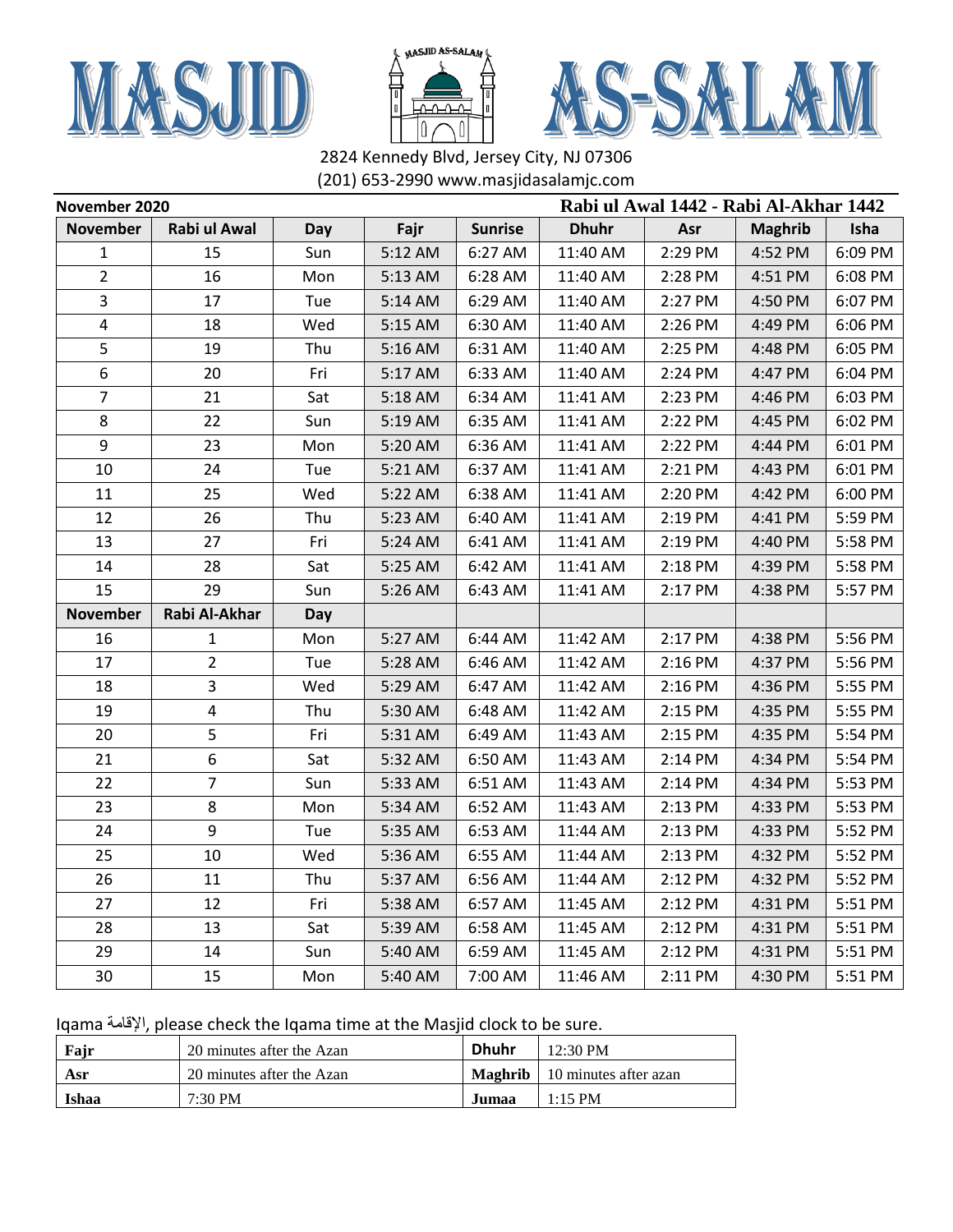





| November 2020   |                         |     |         |                | Rabi ul Awal 1442 - Rabi Al-Akhar 1442 |         |                |         |
|-----------------|-------------------------|-----|---------|----------------|----------------------------------------|---------|----------------|---------|
| <b>November</b> | Rabi ul Awal            | Day | Fajr    | <b>Sunrise</b> | <b>Dhuhr</b>                           | Asr     | <b>Maghrib</b> | Isha    |
| $\mathbf{1}$    | 15                      | Sun | 5:12 AM | 6:27 AM        | 11:40 AM                               | 2:29 PM | 4:52 PM        | 6:09 PM |
| $\overline{2}$  | 16                      | Mon | 5:13 AM | 6:28 AM        | 11:40 AM                               | 2:28 PM | 4:51 PM        | 6:08 PM |
| 3               | 17                      | Tue | 5:14 AM | 6:29 AM        | 11:40 AM                               | 2:27 PM | 4:50 PM        | 6:07 PM |
| 4               | 18                      | Wed | 5:15 AM | 6:30 AM        | 11:40 AM                               | 2:26 PM | 4:49 PM        | 6:06 PM |
| 5               | 19                      | Thu | 5:16 AM | 6:31 AM        | 11:40 AM                               | 2:25 PM | 4:48 PM        | 6:05 PM |
| 6               | 20                      | Fri | 5:17 AM | 6:33 AM        | 11:40 AM                               | 2:24 PM | 4:47 PM        | 6:04 PM |
| $\overline{7}$  | 21                      | Sat | 5:18 AM | 6:34 AM        | 11:41 AM                               | 2:23 PM | 4:46 PM        | 6:03 PM |
| 8               | 22                      | Sun | 5:19 AM | 6:35 AM        | 11:41 AM                               | 2:22 PM | 4:45 PM        | 6:02 PM |
| 9               | 23                      | Mon | 5:20 AM | 6:36 AM        | 11:41 AM                               | 2:22 PM | 4:44 PM        | 6:01 PM |
| 10              | 24                      | Tue | 5:21 AM | 6:37 AM        | 11:41 AM                               | 2:21 PM | 4:43 PM        | 6:01 PM |
| 11              | 25                      | Wed | 5:22 AM | 6:38 AM        | 11:41 AM                               | 2:20 PM | 4:42 PM        | 6:00 PM |
| 12              | 26                      | Thu | 5:23 AM | 6:40 AM        | 11:41 AM                               | 2:19 PM | 4:41 PM        | 5:59 PM |
| 13              | 27                      | Fri | 5:24 AM | 6:41 AM        | 11:41 AM                               | 2:19 PM | 4:40 PM        | 5:58 PM |
| 14              | 28                      | Sat | 5:25 AM | 6:42 AM        | 11:41 AM                               | 2:18 PM | 4:39 PM        | 5:58 PM |
| 15              | 29                      | Sun | 5:26 AM | 6:43 AM        | 11:41 AM                               | 2:17 PM | 4:38 PM        | 5:57 PM |
| <b>November</b> | Rabi Al-Akhar           | Day |         |                |                                        |         |                |         |
| 16              | $\mathbf{1}$            | Mon | 5:27 AM | 6:44 AM        | 11:42 AM                               | 2:17 PM | 4:38 PM        | 5:56 PM |
| 17              | $\overline{2}$          | Tue | 5:28 AM | 6:46 AM        | 11:42 AM                               | 2:16 PM | 4:37 PM        | 5:56 PM |
| 18              | 3                       | Wed | 5:29 AM | 6:47 AM        | 11:42 AM                               | 2:16 PM | 4:36 PM        | 5:55 PM |
| 19              | $\overline{\mathbf{4}}$ | Thu | 5:30 AM | 6:48 AM        | 11:42 AM                               | 2:15 PM | 4:35 PM        | 5:55 PM |
| 20              | 5                       | Fri | 5:31 AM | 6:49 AM        | 11:43 AM                               | 2:15 PM | 4:35 PM        | 5:54 PM |
| 21              | 6                       | Sat | 5:32 AM | 6:50 AM        | 11:43 AM                               | 2:14 PM | 4:34 PM        | 5:54 PM |
| 22              | $\overline{7}$          | Sun | 5:33 AM | 6:51 AM        | 11:43 AM                               | 2:14 PM | 4:34 PM        | 5:53 PM |
| 23              | 8                       | Mon | 5:34 AM | 6:52 AM        | 11:43 AM                               | 2:13 PM | 4:33 PM        | 5:53 PM |
| 24              | 9                       | Tue | 5:35 AM | 6:53 AM        | 11:44 AM                               | 2:13 PM | 4:33 PM        | 5:52 PM |
| 25              | 10                      | Wed | 5:36 AM | 6:55 AM        | 11:44 AM                               | 2:13 PM | 4:32 PM        | 5:52 PM |
| 26              | 11                      | Thu | 5:37 AM | 6:56 AM        | 11:44 AM                               | 2:12 PM | 4:32 PM        | 5:52 PM |
| 27              | 12                      | Fri | 5:38 AM | 6:57 AM        | 11:45 AM                               | 2:12 PM | 4:31 PM        | 5:51 PM |
| 28              | 13                      | Sat | 5:39 AM | 6:58 AM        | 11:45 AM                               | 2:12 PM | 4:31 PM        | 5:51 PM |
| 29              | 14                      | Sun | 5:40 AM | 6:59 AM        | 11:45 AM                               | 2:12 PM | 4:31 PM        | 5:51 PM |
| 30              | 15                      | Mon | 5:40 AM | 7:00 AM        | 11:46 AM                               | 2:11 PM | 4:30 PM        | 5:51 PM |

| Fajr  | 20 minutes after the Azan | <b>Dhuhr</b> | $12:30 \text{ PM}$                           |  |  |
|-------|---------------------------|--------------|----------------------------------------------|--|--|
| Asr   | 20 minutes after the Azan |              | <b>Maghrib</b> $\vert$ 10 minutes after azan |  |  |
| Ishaa | 7:30 PM                   | <b>Jumaa</b> | $1:15$ PM                                    |  |  |